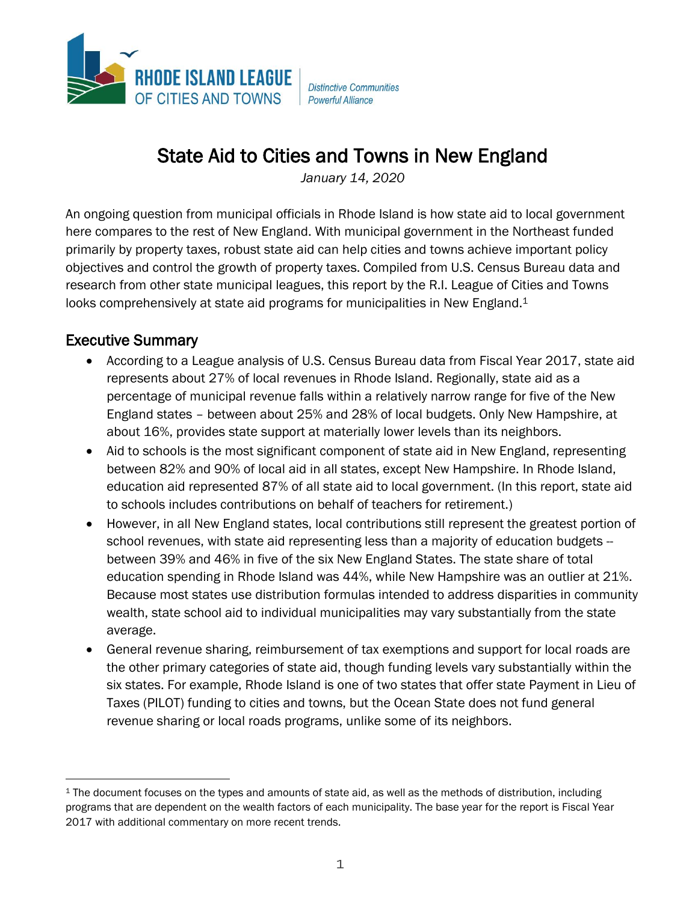

**Distinctive Communities Powerful Alliance** 

## State Aid to Cities and Towns in New England

*January 14, 2020*

An ongoing question from municipal officials in Rhode Island is how state aid to local government here compares to the rest of New England. With municipal government in the Northeast funded primarily by property taxes, robust state aid can help cities and towns achieve important policy objectives and control the growth of property taxes. Compiled from U.S. Census Bureau data and research from other state municipal leagues, this report by the R.I. League of Cities and Towns looks comprehensively at state aid programs for municipalities in New England.<sup>1</sup>

## Executive Summary

- According to a League analysis of U.S. Census Bureau data from Fiscal Year 2017, state aid represents about 27% of local revenues in Rhode Island. Regionally, state aid as a percentage of municipal revenue falls within a relatively narrow range for five of the New England states – between about 25% and 28% of local budgets. Only New Hampshire, at about 16%, provides state support at materially lower levels than its neighbors.
- Aid to schools is the most significant component of state aid in New England, representing between 82% and 90% of local aid in all states, except New Hampshire. In Rhode Island, education aid represented 87% of all state aid to local government. (In this report, state aid to schools includes contributions on behalf of teachers for retirement.)
- However, in all New England states, local contributions still represent the greatest portion of school revenues, with state aid representing less than a majority of education budgets -between 39% and 46% in five of the six New England States. The state share of total education spending in Rhode Island was 44%, while New Hampshire was an outlier at 21%. Because most states use distribution formulas intended to address disparities in community wealth, state school aid to individual municipalities may vary substantially from the state average.
- General revenue sharing, reimbursement of tax exemptions and support for local roads are the other primary categories of state aid, though funding levels vary substantially within the six states. For example, Rhode Island is one of two states that offer state Payment in Lieu of Taxes (PILOT) funding to cities and towns, but the Ocean State does not fund general revenue sharing or local roads programs, unlike some of its neighbors.

<sup>&</sup>lt;sup>1</sup> The document focuses on the types and amounts of state aid, as well as the methods of distribution, including programs that are dependent on the wealth factors of each municipality. The base year for the report is Fiscal Year 2017 with additional commentary on more recent trends.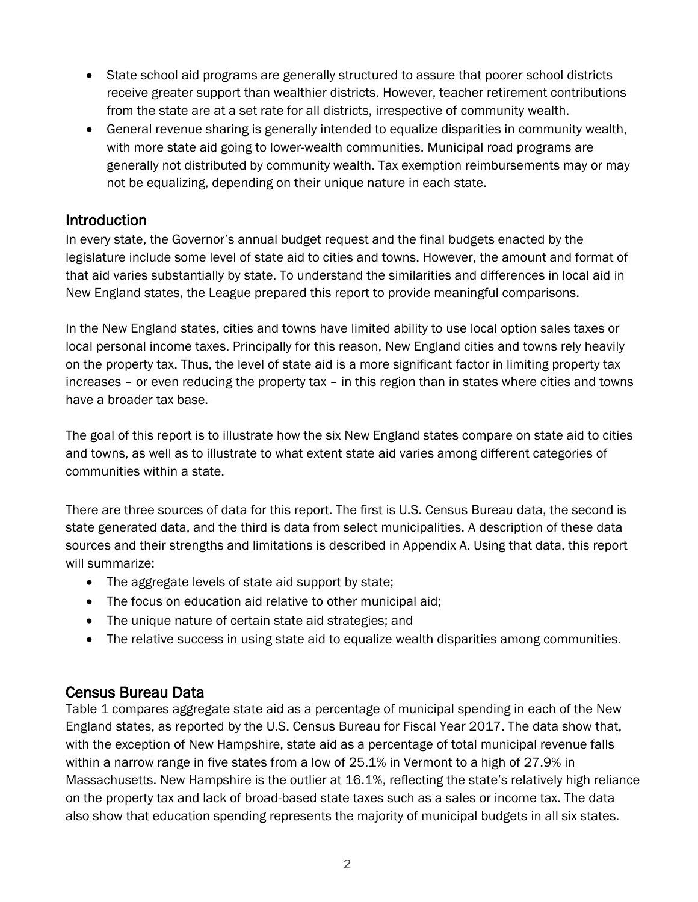- State school aid programs are generally structured to assure that poorer school districts receive greater support than wealthier districts. However, teacher retirement contributions from the state are at a set rate for all districts, irrespective of community wealth.
- General revenue sharing is generally intended to equalize disparities in community wealth, with more state aid going to lower-wealth communities. Municipal road programs are generally not distributed by community wealth. Tax exemption reimbursements may or may not be equalizing, depending on their unique nature in each state.

## Introduction

In every state, the Governor's annual budget request and the final budgets enacted by the legislature include some level of state aid to cities and towns. However, the amount and format of that aid varies substantially by state. To understand the similarities and differences in local aid in New England states, the League prepared this report to provide meaningful comparisons.

In the New England states, cities and towns have limited ability to use local option sales taxes or local personal income taxes. Principally for this reason, New England cities and towns rely heavily on the property tax. Thus, the level of state aid is a more significant factor in limiting property tax increases – or even reducing the property tax – in this region than in states where cities and towns have a broader tax base.

The goal of this report is to illustrate how the six New England states compare on state aid to cities and towns, as well as to illustrate to what extent state aid varies among different categories of communities within a state.

There are three sources of data for this report. The first is U.S. Census Bureau data, the second is state generated data, and the third is data from select municipalities. A description of these data sources and their strengths and limitations is described in Appendix A. Using that data, this report will summarize:

- The aggregate levels of state aid support by state;
- The focus on education aid relative to other municipal aid;
- The unique nature of certain state aid strategies; and
- The relative success in using state aid to equalize wealth disparities among communities.

## Census Bureau Data

Table 1 compares aggregate state aid as a percentage of municipal spending in each of the New England states, as reported by the U.S. Census Bureau for Fiscal Year 2017. The data show that, with the exception of New Hampshire, state aid as a percentage of total municipal revenue falls within a narrow range in five states from a low of 25.1% in Vermont to a high of 27.9% in Massachusetts. New Hampshire is the outlier at 16.1%, reflecting the state's relatively high reliance on the property tax and lack of broad-based state taxes such as a sales or income tax. The data also show that education spending represents the majority of municipal budgets in all six states.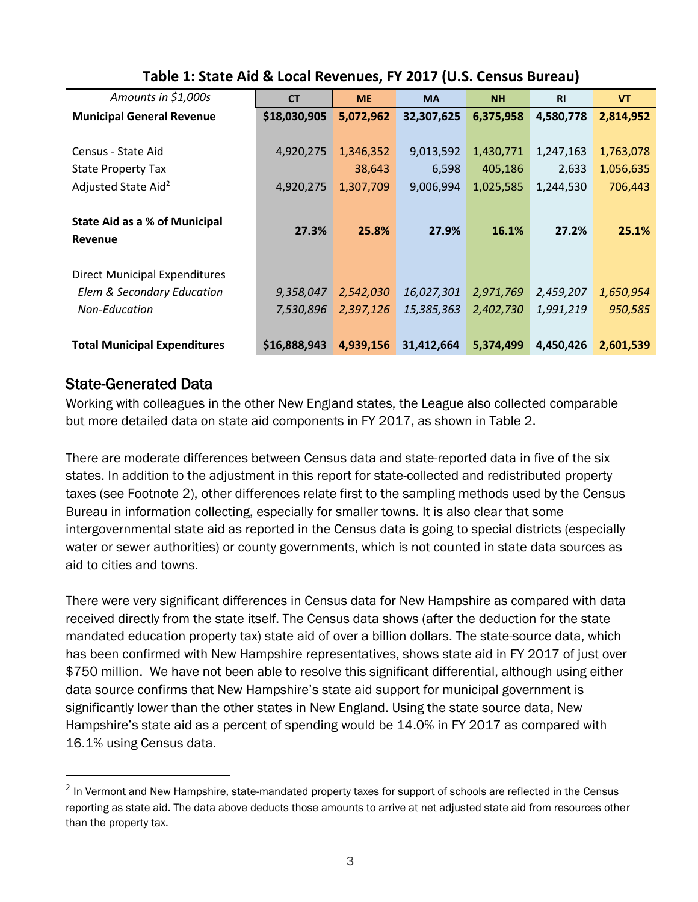| Table 1: State Aid & Local Revenues, FY 2017 (U.S. Census Bureau) |              |           |            |           |           |           |
|-------------------------------------------------------------------|--------------|-----------|------------|-----------|-----------|-----------|
| Amounts in \$1,000s                                               | <b>CT</b>    | <b>ME</b> | <b>MA</b>  | <b>NH</b> | <b>RI</b> | <b>VT</b> |
| <b>Municipal General Revenue</b>                                  | \$18,030,905 | 5,072,962 | 32,307,625 | 6,375,958 | 4,580,778 | 2,814,952 |
|                                                                   |              |           |            |           |           |           |
| Census - State Aid                                                | 4,920,275    | 1,346,352 | 9,013,592  | 1,430,771 | 1,247,163 | 1,763,078 |
| <b>State Property Tax</b>                                         |              | 38,643    | 6,598      | 405,186   | 2,633     | 1,056,635 |
| Adjusted State Aid <sup>2</sup>                                   | 4,920,275    | 1,307,709 | 9,006,994  | 1,025,585 | 1,244,530 | 706,443   |
|                                                                   |              |           |            |           |           |           |
| <b>State Aid as a % of Municipal</b>                              | 27.3%        | 25.8%     | 27.9%      | 16.1%     | 27.2%     | 25.1%     |
| Revenue                                                           |              |           |            |           |           |           |
|                                                                   |              |           |            |           |           |           |
| <b>Direct Municipal Expenditures</b>                              |              |           |            |           |           |           |
| Elem & Secondary Education                                        | 9,358,047    | 2,542,030 | 16,027,301 | 2,971,769 | 2,459,207 | 1,650,954 |
| Non-Education                                                     | 7,530,896    | 2,397,126 | 15,385,363 | 2,402,730 | 1,991,219 | 950,585   |
|                                                                   |              |           |            |           |           |           |
| <b>Total Municipal Expenditures</b>                               | \$16,888,943 | 4,939,156 | 31,412,664 | 5,374,499 | 4,450,426 | 2,601,539 |

## State-Generated Data

Working with colleagues in the other New England states, the League also collected comparable but more detailed data on state aid components in FY 2017, as shown in Table 2.

There are moderate differences between Census data and state-reported data in five of the six states. In addition to the adjustment in this report for state-collected and redistributed property taxes (see Footnote 2), other differences relate first to the sampling methods used by the Census Bureau in information collecting, especially for smaller towns. It is also clear that some intergovernmental state aid as reported in the Census data is going to special districts (especially water or sewer authorities) or county governments, which is not counted in state data sources as aid to cities and towns.

There were very significant differences in Census data for New Hampshire as compared with data received directly from the state itself. The Census data shows (after the deduction for the state mandated education property tax) state aid of over a billion dollars. The state-source data, which has been confirmed with New Hampshire representatives, shows state aid in FY 2017 of just over \$750 million. We have not been able to resolve this significant differential, although using either data source confirms that New Hampshire's state aid support for municipal government is significantly lower than the other states in New England. Using the state source data, New Hampshire's state aid as a percent of spending would be 14.0% in FY 2017 as compared with 16.1% using Census data.

<sup>&</sup>lt;sup>2</sup> In Vermont and New Hampshire, state-mandated property taxes for support of schools are reflected in the Census reporting as state aid. The data above deducts those amounts to arrive at net adjusted state aid from resources other than the property tax.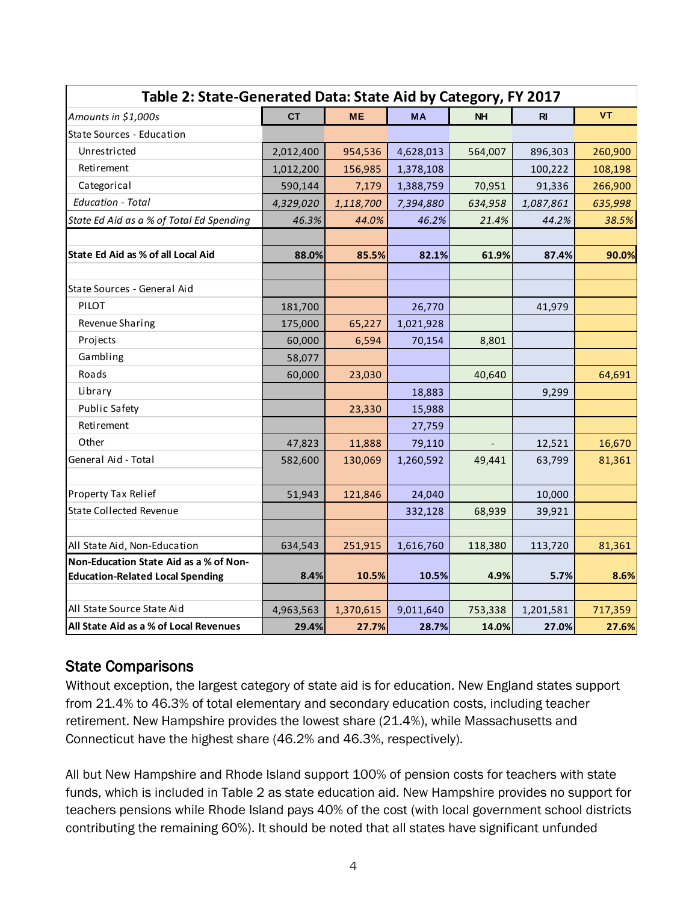| Table 2: State-Generated Data: State Aid by Category, FY 2017                                                                                                                                                                                                                                                                                                                                           |           |           |           |           |             |           |
|---------------------------------------------------------------------------------------------------------------------------------------------------------------------------------------------------------------------------------------------------------------------------------------------------------------------------------------------------------------------------------------------------------|-----------|-----------|-----------|-----------|-------------|-----------|
| Amounts in \$1,000s                                                                                                                                                                                                                                                                                                                                                                                     | <b>CT</b> | <b>ME</b> | <b>MA</b> | <b>NH</b> | $R_{\rm I}$ | <b>VT</b> |
| State Sources - Education                                                                                                                                                                                                                                                                                                                                                                               |           |           |           |           |             |           |
| Unrestricted                                                                                                                                                                                                                                                                                                                                                                                            | 2,012,400 | 954,536   | 4,628,013 | 564,007   | 896,303     | 260,900   |
| Retirement                                                                                                                                                                                                                                                                                                                                                                                              | 1,012,200 | 156,985   | 1,378,108 |           | 100,222     | 108,198   |
| Categorical                                                                                                                                                                                                                                                                                                                                                                                             | 590,144   | 7,179     | 1,388,759 | 70,951    | 91,336      | 266,900   |
| <b>Education - Total</b>                                                                                                                                                                                                                                                                                                                                                                                | 4,329,020 | 1,118,700 | 7,394,880 | 634,958   | 1,087,861   | 635,998   |
| State Ed Aid as a % of Total Ed Spending                                                                                                                                                                                                                                                                                                                                                                | 46.3%     | 44.0%     | 46.2%     | 21.4%     | 44.2%       | 38.5%     |
|                                                                                                                                                                                                                                                                                                                                                                                                         |           |           |           |           |             |           |
| State Ed Aid as % of all Local Aid                                                                                                                                                                                                                                                                                                                                                                      | 88.0%     | 85.5%     | 82.1%     | 61.9%     | 87.4%       | 90.0%     |
| State Sources - General Aid                                                                                                                                                                                                                                                                                                                                                                             |           |           |           |           |             |           |
| PILOT                                                                                                                                                                                                                                                                                                                                                                                                   | 181,700   |           | 26,770    |           | 41,979      |           |
| Revenue Sharing                                                                                                                                                                                                                                                                                                                                                                                         | 175,000   | 65,227    | 1,021,928 |           |             |           |
| Projects                                                                                                                                                                                                                                                                                                                                                                                                | 60,000    | 6,594     | 70,154    | 8,801     |             |           |
| Gambling                                                                                                                                                                                                                                                                                                                                                                                                | 58,077    |           |           |           |             |           |
| Roads                                                                                                                                                                                                                                                                                                                                                                                                   | 60,000    | 23,030    |           | 40,640    |             | 64,691    |
| Library                                                                                                                                                                                                                                                                                                                                                                                                 |           |           | 18,883    |           | 9,299       |           |
| Public Safety                                                                                                                                                                                                                                                                                                                                                                                           |           | 23,330    | 15,988    |           |             |           |
| Retirement                                                                                                                                                                                                                                                                                                                                                                                              |           |           | 27,759    |           |             |           |
| Other                                                                                                                                                                                                                                                                                                                                                                                                   | 47,823    | 11,888    | 79,110    |           | 12,521      | 16,670    |
| General Aid - Total                                                                                                                                                                                                                                                                                                                                                                                     | 582,600   | 130,069   | 1,260,592 | 49,441    | 63,799      | 81,361    |
| Property Tax Relief                                                                                                                                                                                                                                                                                                                                                                                     | 51,943    | 121,846   | 24,040    |           | 10,000      |           |
| <b>State Collected Revenue</b>                                                                                                                                                                                                                                                                                                                                                                          |           |           | 332,128   | 68,939    | 39,921      |           |
|                                                                                                                                                                                                                                                                                                                                                                                                         |           |           |           |           |             |           |
| All State Aid, Non-Education                                                                                                                                                                                                                                                                                                                                                                            | 634,543   | 251,915   | 1,616,760 | 118,380   | 113,720     | 81,361    |
| Non-Education State Aid as a % of Non-<br><b>Education-Related Local Spending</b>                                                                                                                                                                                                                                                                                                                       | 8.4%      | 10.5%     | 10.5%     | 4.9%      | 5.7%        | 8.6%      |
|                                                                                                                                                                                                                                                                                                                                                                                                         |           |           |           |           |             |           |
| All State Source State Aid                                                                                                                                                                                                                                                                                                                                                                              | 4,963,563 | 1,370,615 | 9,011,640 | 753,338   | 1,201,581   | 717,359   |
| All State Aid as a % of Local Revenues                                                                                                                                                                                                                                                                                                                                                                  | 29.4%     | 27.7%     | 28.7%     | 14.0%     | 27.0%       | 27.6%     |
| <b>State Comparisons</b><br>Without exception, the largest category of state aid is for education. New England states support<br>from 21.4% to 46.3% of total elementary and secondary education costs, including teacher<br>retirement. New Hampshire provides the lowest share (21.4%), while Massachusetts and                                                                                       |           |           |           |           |             |           |
| Connecticut have the highest share (46.2% and 46.3%, respectively).                                                                                                                                                                                                                                                                                                                                     |           |           |           |           |             |           |
| All but New Hampshire and Rhode Island support 100% of pension costs for teachers with state<br>funds, which is included in Table 2 as state education aid. New Hampshire provides no support for<br>teachers pensions while Rhode Island pays 40% of the cost (with local government school districts<br>contributing the remaining 60%). It should be noted that all states have significant unfunded |           |           |           |           |             |           |

## State Comparisons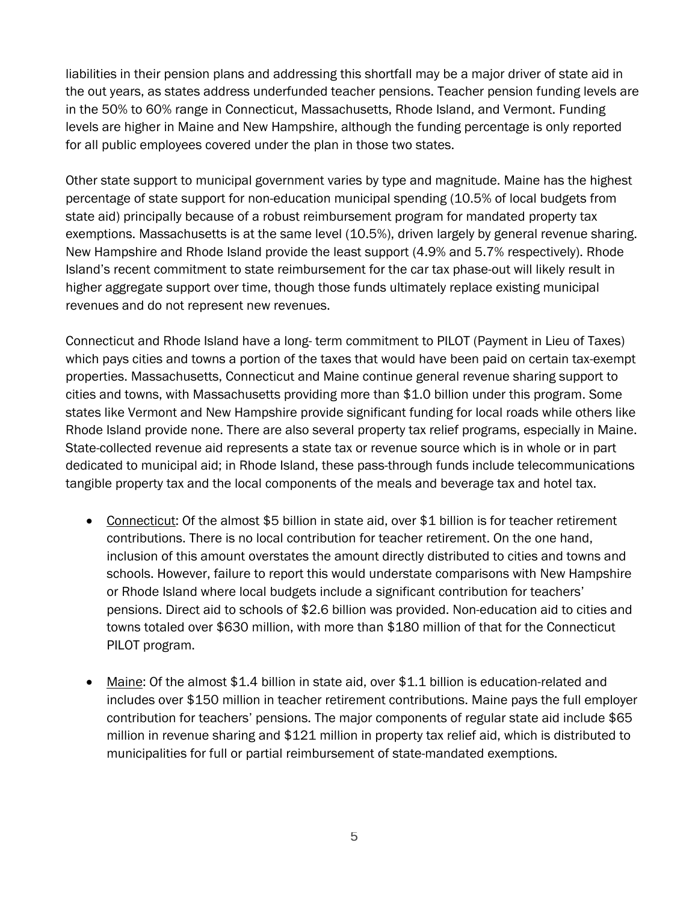liabilities in their pension plans and addressing this shortfall may be a major driver of state aid in the out years, as states address underfunded teacher pensions. Teacher pension funding levels are in the 50% to 60% range in Connecticut, Massachusetts, Rhode Island, and Vermont. Funding levels are higher in Maine and New Hampshire, although the funding percentage is only reported for all public employees covered under the plan in those two states.

Other state support to municipal government varies by type and magnitude. Maine has the highest percentage of state support for non-education municipal spending (10.5% of local budgets from state aid) principally because of a robust reimbursement program for mandated property tax exemptions. Massachusetts is at the same level (10.5%), driven largely by general revenue sharing. New Hampshire and Rhode Island provide the least support (4.9% and 5.7% respectively). Rhode Island's recent commitment to state reimbursement for the car tax phase-out will likely result in higher aggregate support over time, though those funds ultimately replace existing municipal revenues and do not represent new revenues.

Connecticut and Rhode Island have a long- term commitment to PILOT (Payment in Lieu of Taxes) which pays cities and towns a portion of the taxes that would have been paid on certain tax-exempt properties. Massachusetts, Connecticut and Maine continue general revenue sharing support to cities and towns, with Massachusetts providing more than \$1.0 billion under this program. Some states like Vermont and New Hampshire provide significant funding for local roads while others like Rhode Island provide none. There are also several property tax relief programs, especially in Maine. State-collected revenue aid represents a state tax or revenue source which is in whole or in part dedicated to municipal aid; in Rhode Island, these pass-through funds include telecommunications tangible property tax and the local components of the meals and beverage tax and hotel tax.

- Connecticut: Of the almost \$5 billion in state aid, over \$1 billion is for teacher retirement contributions. There is no local contribution for teacher retirement. On the one hand, inclusion of this amount overstates the amount directly distributed to cities and towns and schools. However, failure to report this would understate comparisons with New Hampshire or Rhode Island where local budgets include a significant contribution for teachers' pensions. Direct aid to schools of \$2.6 billion was provided. Non-education aid to cities and towns totaled over \$630 million, with more than \$180 million of that for the Connecticut PILOT program.
- Maine: Of the almost \$1.4 billion in state aid, over \$1.1 billion is education-related and includes over \$150 million in teacher retirement contributions. Maine pays the full employer contribution for teachers' pensions. The major components of regular state aid include \$65 million in revenue sharing and \$121 million in property tax relief aid, which is distributed to municipalities for full or partial reimbursement of state-mandated exemptions.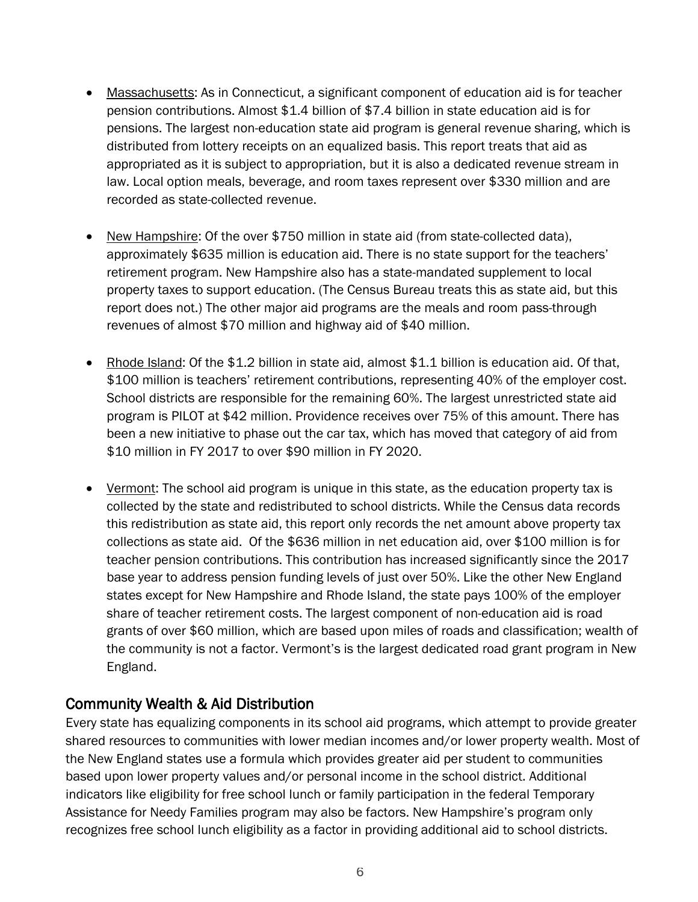- Massachusetts: As in Connecticut, a significant component of education aid is for teacher pension contributions. Almost \$1.4 billion of \$7.4 billion in state education aid is for pensions. The largest non-education state aid program is general revenue sharing, which is distributed from lottery receipts on an equalized basis. This report treats that aid as appropriated as it is subject to appropriation, but it is also a dedicated revenue stream in law. Local option meals, beverage, and room taxes represent over \$330 million and are recorded as state-collected revenue.
- New Hampshire: Of the over \$750 million in state aid (from state-collected data), approximately \$635 million is education aid. There is no state support for the teachers' retirement program. New Hampshire also has a state-mandated supplement to local property taxes to support education. (The Census Bureau treats this as state aid, but this report does not.) The other major aid programs are the meals and room pass-through revenues of almost \$70 million and highway aid of \$40 million.
- Rhode Island: Of the \$1.2 billion in state aid, almost \$1.1 billion is education aid. Of that, \$100 million is teachers' retirement contributions, representing 40% of the employer cost. School districts are responsible for the remaining 60%. The largest unrestricted state aid program is PILOT at \$42 million. Providence receives over 75% of this amount. There has been a new initiative to phase out the car tax, which has moved that category of aid from \$10 million in FY 2017 to over \$90 million in FY 2020.
- Vermont: The school aid program is unique in this state, as the education property tax is collected by the state and redistributed to school districts. While the Census data records this redistribution as state aid, this report only records the net amount above property tax collections as state aid. Of the \$636 million in net education aid, over \$100 million is for teacher pension contributions. This contribution has increased significantly since the 2017 base year to address pension funding levels of just over 50%. Like the other New England states except for New Hampshire and Rhode Island, the state pays 100% of the employer share of teacher retirement costs. The largest component of non-education aid is road grants of over \$60 million, which are based upon miles of roads and classification; wealth of the community is not a factor. Vermont's is the largest dedicated road grant program in New England.

## Community Wealth & Aid Distribution

Every state has equalizing components in its school aid programs, which attempt to provide greater shared resources to communities with lower median incomes and/or lower property wealth. Most of the New England states use a formula which provides greater aid per student to communities based upon lower property values and/or personal income in the school district. Additional indicators like eligibility for free school lunch or family participation in the federal Temporary Assistance for Needy Families program may also be factors. New Hampshire's program only recognizes free school lunch eligibility as a factor in providing additional aid to school districts.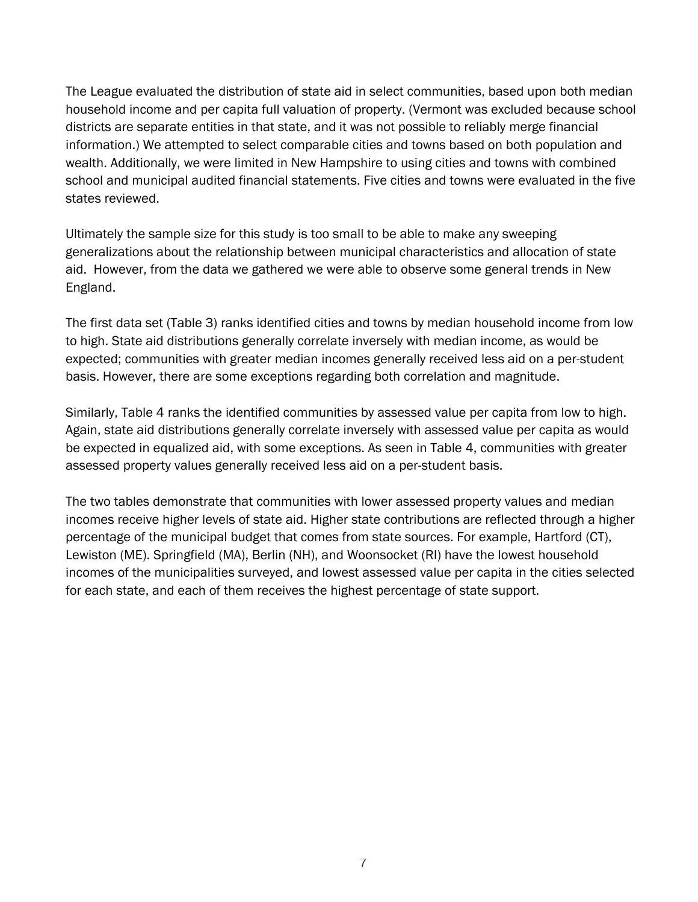The League evaluated the distribution of state aid in select communities, based upon both median household income and per capita full valuation of property. (Vermont was excluded because school districts are separate entities in that state, and it was not possible to reliably merge financial information.) We attempted to select comparable cities and towns based on both population and wealth. Additionally, we were limited in New Hampshire to using cities and towns with combined school and municipal audited financial statements. Five cities and towns were evaluated in the five states reviewed.

Ultimately the sample size for this study is too small to be able to make any sweeping generalizations about the relationship between municipal characteristics and allocation of state aid. However, from the data we gathered we were able to observe some general trends in New England.

The first data set (Table 3) ranks identified cities and towns by median household income from low to high. State aid distributions generally correlate inversely with median income, as would be expected; communities with greater median incomes generally received less aid on a per-student basis. However, there are some exceptions regarding both correlation and magnitude.

Similarly, Table 4 ranks the identified communities by assessed value per capita from low to high. Again, state aid distributions generally correlate inversely with assessed value per capita as would be expected in equalized aid, with some exceptions. As seen in Table 4, communities with greater assessed property values generally received less aid on a per-student basis.

The two tables demonstrate that communities with lower assessed property values and median incomes receive higher levels of state aid. Higher state contributions are reflected through a higher percentage of the municipal budget that comes from state sources. For example, Hartford (CT), Lewiston (ME). Springfield (MA), Berlin (NH), and Woonsocket (RI) have the lowest household incomes of the municipalities surveyed, and lowest assessed value per capita in the cities selected for each state, and each of them receives the highest percentage of state support.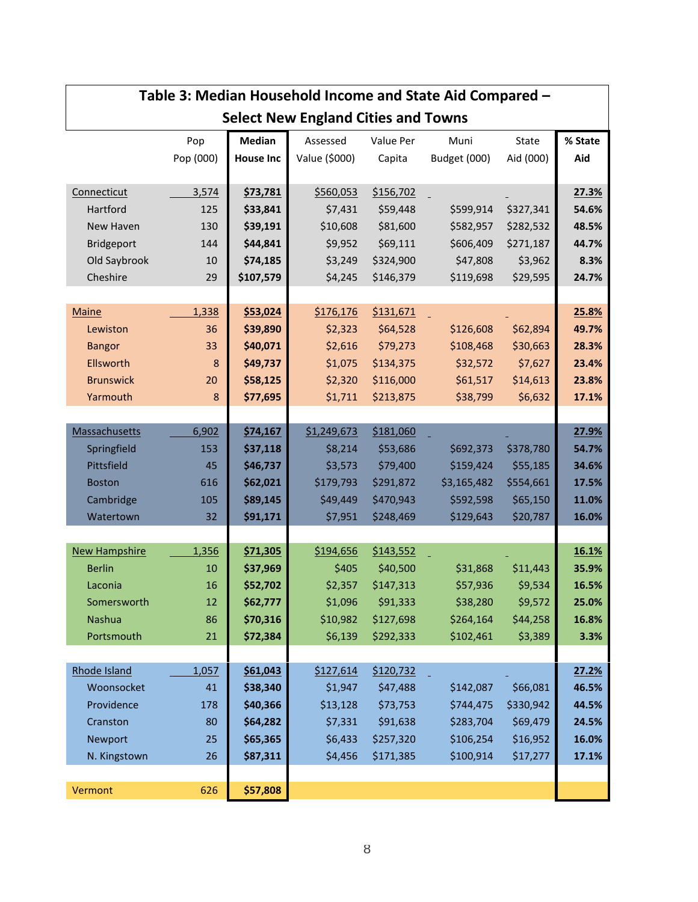|                              |           |                      | rapic 5. iviculari ribascribiu inconic and state Alu compared<br><b>Select New England Cities and Towns</b> |                        |                        |                     |                |
|------------------------------|-----------|----------------------|-------------------------------------------------------------------------------------------------------------|------------------------|------------------------|---------------------|----------------|
|                              | Pop       | <b>Median</b>        | Assessed                                                                                                    | Value Per              | Muni                   | State               | % State        |
|                              | Pop (000) | <b>House Inc</b>     | Value (\$000)                                                                                               | Capita                 | Budget (000)           | Aid (000)           | Aid            |
|                              |           |                      |                                                                                                             |                        |                        |                     |                |
| Connecticut                  | 3,574     | \$73,781             | \$560,053                                                                                                   | \$156,702              |                        |                     | 27.3%          |
| Hartford                     | 125       | \$33,841             | \$7,431                                                                                                     | \$59,448               | \$599,914              | \$327,341           | 54.6%          |
| New Haven                    | 130       | \$39,191             | \$10,608                                                                                                    | \$81,600               | \$582,957              | \$282,532           | 48.5%          |
| Bridgeport                   | 144       | \$44,841             | \$9,952                                                                                                     | \$69,111               | \$606,409              | \$271,187           | 44.7%          |
| Old Saybrook                 | 10        | \$74,185             | \$3,249                                                                                                     | \$324,900              | \$47,808               | \$3,962             | 8.3%           |
| Cheshire                     | 29        | \$107,579            | \$4,245                                                                                                     | \$146,379              | \$119,698              | \$29,595            | 24.7%          |
|                              |           |                      |                                                                                                             |                        |                        |                     |                |
| <b>Maine</b>                 | 1,338     | \$53,024             | \$176,176                                                                                                   | \$131,671              |                        |                     | 25.8%          |
| Lewiston                     | 36        | \$39,890             | \$2,323                                                                                                     | \$64,528               | \$126,608              | \$62,894            | 49.7%          |
| <b>Bangor</b>                | 33        | \$40,071             | \$2,616                                                                                                     | \$79,273               | \$108,468              | \$30,663            | 28.3%          |
| Ellsworth                    | 8         | \$49,737             | \$1,075                                                                                                     | \$134,375              | \$32,572               | \$7,627             | 23.4%          |
| <b>Brunswick</b>             | 20        | \$58,125             | \$2,320                                                                                                     | \$116,000              | \$61,517               | \$14,613            | 23.8%          |
| Yarmouth                     | 8         | \$77,695             | \$1,711                                                                                                     | \$213,875              | \$38,799               | \$6,632             | 17.1%          |
|                              |           |                      |                                                                                                             |                        |                        |                     |                |
| <b>Massachusetts</b>         | 6,902     | \$74,167             | \$1,249,673                                                                                                 | \$181,060              |                        |                     | 27.9%          |
| Springfield                  | 153       | \$37,118             | \$8,214                                                                                                     | \$53,686               | \$692,373              | \$378,780           | 54.7%          |
| Pittsfield                   | 45        | \$46,737             | \$3,573                                                                                                     | \$79,400               | \$159,424              | \$55,185            | 34.6%          |
| <b>Boston</b>                | 616       | \$62,021             | \$179,793                                                                                                   | \$291,872              | \$3,165,482            | \$554,661           | 17.5%          |
| Cambridge                    | 105       | \$89,145             | \$49,449                                                                                                    | \$470,943              | \$592,598              | \$65,150            | 11.0%          |
| Watertown                    | 32        | \$91,171             | \$7,951                                                                                                     | \$248,469              | \$129,643              | \$20,787            | 16.0%          |
|                              |           |                      |                                                                                                             |                        |                        |                     |                |
| <b>New Hampshire</b>         | 1,356     | \$71,305             | \$194,656                                                                                                   | \$143,552              |                        |                     | 16.1%          |
| <b>Berlin</b>                | 10        | \$37,969             | \$405                                                                                                       | \$40,500               | \$31,868               | \$11,443            | 35.9%          |
| Laconia                      | 16        | \$52,702             | \$2,357                                                                                                     | \$147,313              | \$57,936               | \$9,534             | 16.5%<br>25.0% |
| Somersworth<br><b>Nashua</b> | 12        | \$62,777<br>\$70,316 | \$1,096                                                                                                     | \$91,333               | \$38,280               | \$9,572             | 16.8%          |
| Portsmouth                   | 86<br>21  | \$72,384             | \$10,982<br>\$6,139                                                                                         | \$127,698<br>\$292,333 | \$264,164<br>\$102,461 | \$44,258<br>\$3,389 | 3.3%           |
|                              |           |                      |                                                                                                             |                        |                        |                     |                |
| Rhode Island                 | 1,057     | \$61,043             | \$127,614                                                                                                   | \$120,732              |                        |                     | 27.2%          |
| Woonsocket                   | 41        | \$38,340             | \$1,947                                                                                                     | \$47,488               | \$142,087              | \$66,081            | 46.5%          |
| Providence                   | 178       | \$40,366             | \$13,128                                                                                                    | \$73,753               | \$744,475              | \$330,942           | 44.5%          |
| Cranston                     | 80        | \$64,282             | \$7,331                                                                                                     | \$91,638               | \$283,704              | \$69,479            | 24.5%          |
| Newport                      | 25        | \$65,365             | \$6,433                                                                                                     | \$257,320              | \$106,254              | \$16,952            | 16.0%          |
| N. Kingstown                 | 26        | \$87,311             | \$4,456                                                                                                     | \$171,385              | \$100,914              | \$17,277            | 17.1%          |
|                              |           |                      |                                                                                                             |                        |                        |                     |                |
| Vermont                      | 626       | \$57,808             |                                                                                                             |                        |                        |                     |                |
|                              |           |                      |                                                                                                             |                        |                        |                     |                |

# **Table 3: Median Household Income and State Aid Compared –**

Г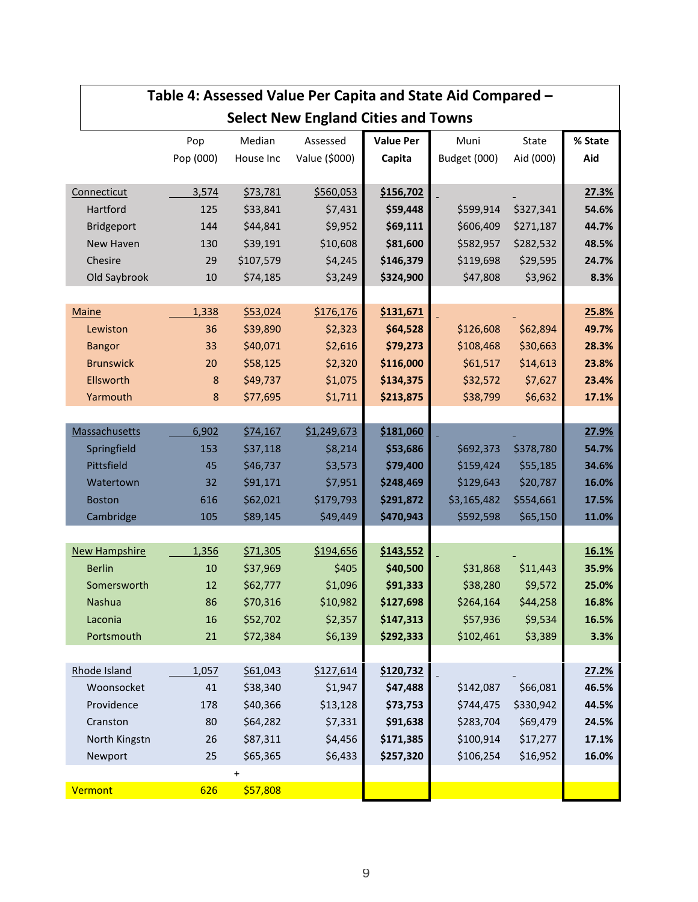|                      |           |           | Table 4: Assessed Value Per Capita and State Aid Compared - |                  |              |           |         |
|----------------------|-----------|-----------|-------------------------------------------------------------|------------------|--------------|-----------|---------|
|                      |           |           | <b>Select New England Cities and Towns</b>                  |                  |              |           |         |
|                      | Pop       | Median    | Assessed                                                    | <b>Value Per</b> | Muni         | State     | % State |
|                      | Pop (000) | House Inc | Value (\$000)                                               | Capita           | Budget (000) | Aid (000) | Aid     |
|                      |           |           |                                                             |                  |              |           |         |
| Connecticut          | 3,574     | \$73,781  | \$560,053                                                   | \$156,702        |              |           | 27.3%   |
| Hartford             | 125       | \$33,841  | \$7,431                                                     | \$59,448         | \$599,914    | \$327,341 | 54.6%   |
| <b>Bridgeport</b>    | 144       | \$44,841  | \$9,952                                                     | \$69,111         | \$606,409    | \$271,187 | 44.7%   |
| <b>New Haven</b>     | 130       | \$39,191  | \$10,608                                                    | \$81,600         | \$582,957    | \$282,532 | 48.5%   |
| Chesire              | 29        | \$107,579 | \$4,245                                                     | \$146,379        | \$119,698    | \$29,595  | 24.7%   |
| Old Saybrook         | 10        | \$74,185  | \$3,249                                                     | \$324,900        | \$47,808     | \$3,962   | 8.3%    |
|                      |           |           |                                                             |                  |              |           |         |
| <b>Maine</b>         | 1,338     | \$53,024  | \$176,176                                                   | \$131,671        |              |           | 25.8%   |
| Lewiston             | 36        | \$39,890  | \$2,323                                                     | \$64,528         | \$126,608    | \$62,894  | 49.7%   |
| <b>Bangor</b>        | 33        | \$40,071  | \$2,616                                                     | \$79,273         | \$108,468    | \$30,663  | 28.3%   |
| <b>Brunswick</b>     | 20        | \$58,125  | \$2,320                                                     | \$116,000        | \$61,517     | \$14,613  | 23.8%   |
| Ellsworth            | 8         | \$49,737  | \$1,075                                                     | \$134,375        | \$32,572     | \$7,627   | 23.4%   |
| Yarmouth             | $\bf 8$   | \$77,695  | \$1,711                                                     | \$213,875        | \$38,799     | \$6,632   | 17.1%   |
|                      |           |           |                                                             |                  |              |           |         |
| <b>Massachusetts</b> | 6,902     | \$74,167  | \$1,249,673                                                 | \$181,060        |              |           | 27.9%   |
| Springfield          | 153       | \$37,118  | \$8,214                                                     | \$53,686         | \$692,373    | \$378,780 | 54.7%   |
| Pittsfield           | 45        | \$46,737  | \$3,573                                                     | \$79,400         | \$159,424    | \$55,185  | 34.6%   |
| Watertown            | 32        | \$91,171  | \$7,951                                                     | \$248,469        | \$129,643    | \$20,787  | 16.0%   |
| <b>Boston</b>        | 616       | \$62,021  | \$179,793                                                   | \$291,872        | \$3,165,482  | \$554,661 | 17.5%   |
| Cambridge            | 105       | \$89,145  | \$49,449                                                    | \$470,943        | \$592,598    | \$65,150  | 11.0%   |
|                      |           |           |                                                             |                  |              |           |         |
| <b>New Hampshire</b> | 1,356     | \$71,305  | \$194,656                                                   | \$143,552        |              |           | 16.1%   |
| <b>Berlin</b>        | 10        | \$37,969  | \$405                                                       | \$40,500         | \$31,868     | \$11,443  | 35.9%   |
| Somersworth          | 12        | \$62,777  | \$1,096                                                     | \$91,333         | \$38,280     | \$9,572   | 25.0%   |
| Nashua               | 86        | \$70,316  | \$10,982                                                    | \$127,698        | \$264,164    | \$44,258  | 16.8%   |
| Laconia              | 16        | \$52,702  | \$2,357                                                     | \$147,313        | \$57,936     | \$9,534   | 16.5%   |
| Portsmouth           | 21        | \$72,384  | \$6,139                                                     | \$292,333        | \$102,461    | \$3,389   | 3.3%    |
| Rhode Island         | 1,057     | \$61,043  | \$127,614                                                   | \$120,732        |              |           | 27.2%   |
| Woonsocket           | 41        | \$38,340  | \$1,947                                                     | \$47,488         | \$142,087    | \$66,081  | 46.5%   |
| Providence           | 178       | \$40,366  | \$13,128                                                    | \$73,753         | \$744,475    | \$330,942 | 44.5%   |
| Cranston             | 80        | \$64,282  | \$7,331                                                     | \$91,638         | \$283,704    | \$69,479  | 24.5%   |
| North Kingstn        | 26        | \$87,311  | \$4,456                                                     | \$171,385        | \$100,914    | \$17,277  | 17.1%   |
|                      | 25        | \$65,365  | \$6,433                                                     | \$257,320        | \$106,254    | \$16,952  | 16.0%   |
| Newport              |           | $\ddot{}$ |                                                             |                  |              |           |         |
| Vermont              | 626       | \$57,808  |                                                             |                  |              |           |         |
|                      |           |           |                                                             |                  |              |           |         |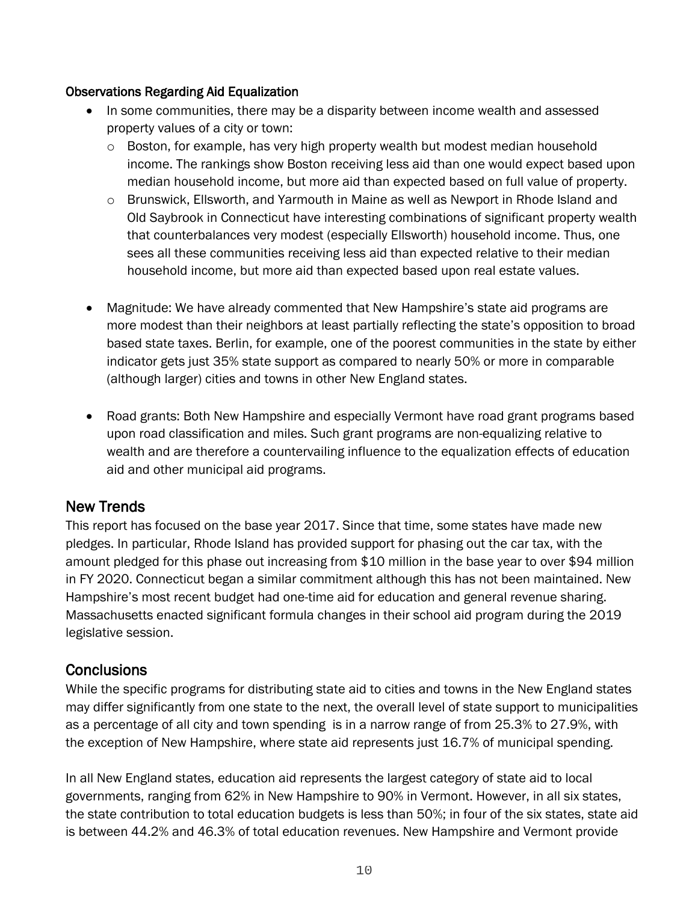#### Observations Regarding Aid Equalization

- In some communities, there may be a disparity between income wealth and assessed property values of a city or town:
	- $\circ$  Boston, for example, has very high property wealth but modest median household income. The rankings show Boston receiving less aid than one would expect based upon median household income, but more aid than expected based on full value of property.
	- $\circ$  Brunswick, Ellsworth, and Yarmouth in Maine as well as Newport in Rhode Island and Old Saybrook in Connecticut have interesting combinations of significant property wealth that counterbalances very modest (especially Ellsworth) household income. Thus, one sees all these communities receiving less aid than expected relative to their median household income, but more aid than expected based upon real estate values.
- Magnitude: We have already commented that New Hampshire's state aid programs are more modest than their neighbors at least partially reflecting the state's opposition to broad based state taxes. Berlin, for example, one of the poorest communities in the state by either indicator gets just 35% state support as compared to nearly 50% or more in comparable (although larger) cities and towns in other New England states.
- Road grants: Both New Hampshire and especially Vermont have road grant programs based upon road classification and miles. Such grant programs are non-equalizing relative to wealth and are therefore a countervailing influence to the equalization effects of education aid and other municipal aid programs.

## New Trends

This report has focused on the base year 2017. Since that time, some states have made new pledges. In particular, Rhode Island has provided support for phasing out the car tax, with the amount pledged for this phase out increasing from \$10 million in the base year to over \$94 million in FY 2020. Connecticut began a similar commitment although this has not been maintained. New Hampshire's most recent budget had one-time aid for education and general revenue sharing. Massachusetts enacted significant formula changes in their school aid program during the 2019 legislative session.

## **Conclusions**

While the specific programs for distributing state aid to cities and towns in the New England states may differ significantly from one state to the next, the overall level of state support to municipalities as a percentage of all city and town spending is in a narrow range of from 25.3% to 27.9%, with the exception of New Hampshire, where state aid represents just 16.7% of municipal spending.

In all New England states, education aid represents the largest category of state aid to local governments, ranging from 62% in New Hampshire to 90% in Vermont. However, in all six states, the state contribution to total education budgets is less than 50%; in four of the six states, state aid is between 44.2% and 46.3% of total education revenues. New Hampshire and Vermont provide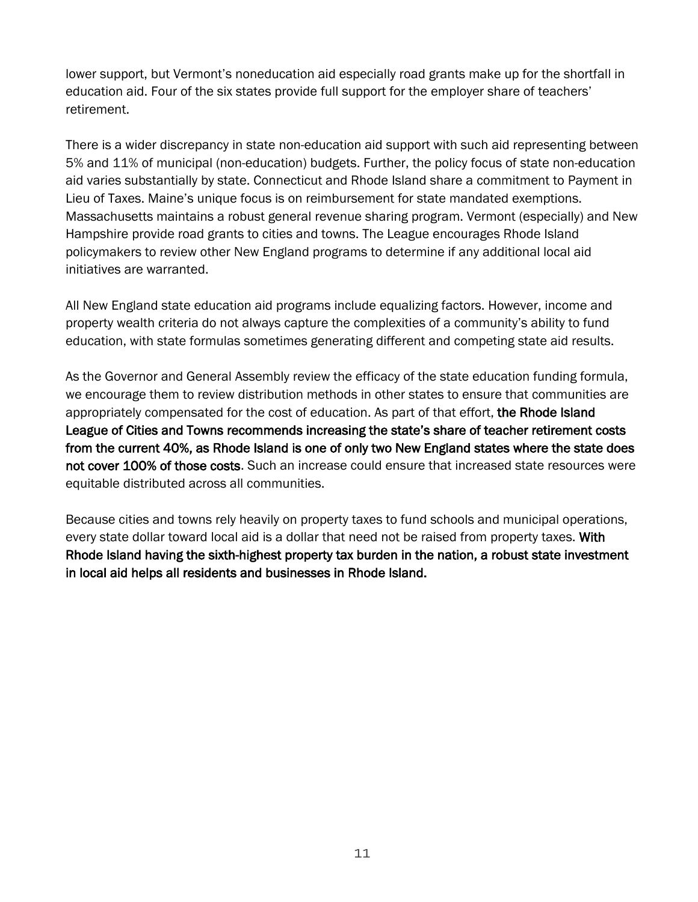lower support, but Vermont's noneducation aid especially road grants make up for the shortfall in education aid. Four of the six states provide full support for the employer share of teachers' retirement.

There is a wider discrepancy in state non-education aid support with such aid representing between 5% and 11% of municipal (non-education) budgets. Further, the policy focus of state non-education aid varies substantially by state. Connecticut and Rhode Island share a commitment to Payment in Lieu of Taxes. Maine's unique focus is on reimbursement for state mandated exemptions. Massachusetts maintains a robust general revenue sharing program. Vermont (especially) and New Hampshire provide road grants to cities and towns. The League encourages Rhode Island policymakers to review other New England programs to determine if any additional local aid initiatives are warranted.

All New England state education aid programs include equalizing factors. However, income and property wealth criteria do not always capture the complexities of a community's ability to fund education, with state formulas sometimes generating different and competing state aid results.

As the Governor and General Assembly review the efficacy of the state education funding formula, we encourage them to review distribution methods in other states to ensure that communities are appropriately compensated for the cost of education. As part of that effort, the Rhode Island League of Cities and Towns recommends increasing the state's share of teacher retirement costs from the current 40%, as Rhode Island is one of only two New England states where the state does not cover 100% of those costs. Such an increase could ensure that increased state resources were equitable distributed across all communities.

Because cities and towns rely heavily on property taxes to fund schools and municipal operations, every state dollar toward local aid is a dollar that need not be raised from property taxes. With Rhode Island having the sixth-highest property tax burden in the nation, a robust state investment in local aid helps all residents and businesses in Rhode Island.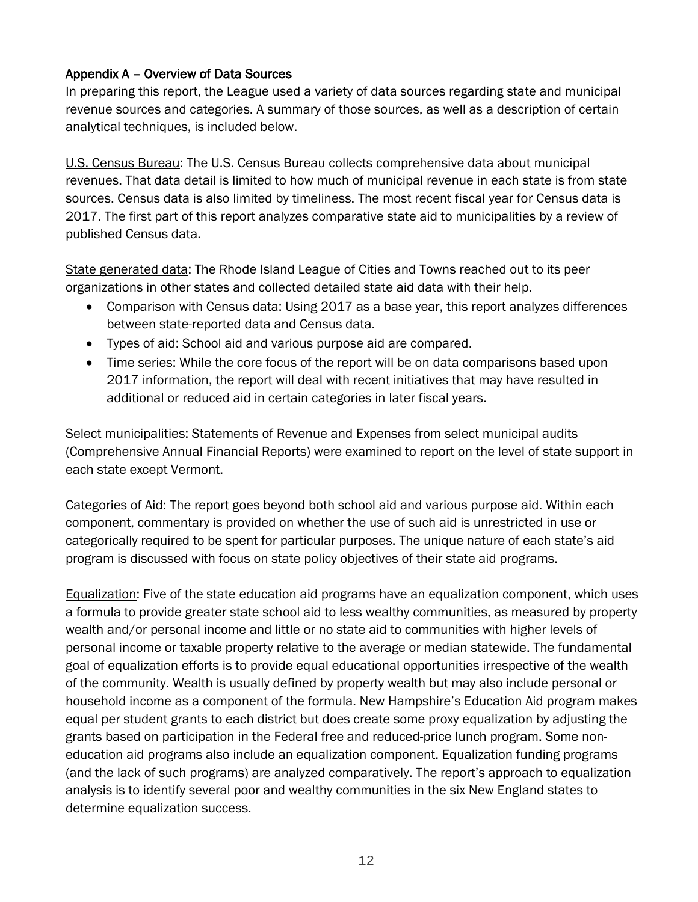#### Appendix A – Overview of Data Sources

In preparing this report, the League used a variety of data sources regarding state and municipal revenue sources and categories. A summary of those sources, as well as a description of certain analytical techniques, is included below.

U.S. Census Bureau: The U.S. Census Bureau collects comprehensive data about municipal revenues. That data detail is limited to how much of municipal revenue in each state is from state sources. Census data is also limited by timeliness. The most recent fiscal year for Census data is 2017. The first part of this report analyzes comparative state aid to municipalities by a review of published Census data.

State generated data: The Rhode Island League of Cities and Towns reached out to its peer organizations in other states and collected detailed state aid data with their help.

- Comparison with Census data: Using 2017 as a base year, this report analyzes differences between state-reported data and Census data.
- Types of aid: School aid and various purpose aid are compared.
- Time series: While the core focus of the report will be on data comparisons based upon 2017 information, the report will deal with recent initiatives that may have resulted in additional or reduced aid in certain categories in later fiscal years.

Select municipalities: Statements of Revenue and Expenses from select municipal audits (Comprehensive Annual Financial Reports) were examined to report on the level of state support in each state except Vermont.

Categories of Aid: The report goes beyond both school aid and various purpose aid. Within each component, commentary is provided on whether the use of such aid is unrestricted in use or categorically required to be spent for particular purposes. The unique nature of each state's aid program is discussed with focus on state policy objectives of their state aid programs.

Equalization: Five of the state education aid programs have an equalization component, which uses a formula to provide greater state school aid to less wealthy communities, as measured by property wealth and/or personal income and little or no state aid to communities with higher levels of personal income or taxable property relative to the average or median statewide. The fundamental goal of equalization efforts is to provide equal educational opportunities irrespective of the wealth of the community. Wealth is usually defined by property wealth but may also include personal or household income as a component of the formula. New Hampshire's Education Aid program makes equal per student grants to each district but does create some proxy equalization by adjusting the grants based on participation in the Federal free and reduced-price lunch program. Some noneducation aid programs also include an equalization component. Equalization funding programs (and the lack of such programs) are analyzed comparatively. The report's approach to equalization analysis is to identify several poor and wealthy communities in the six New England states to determine equalization success.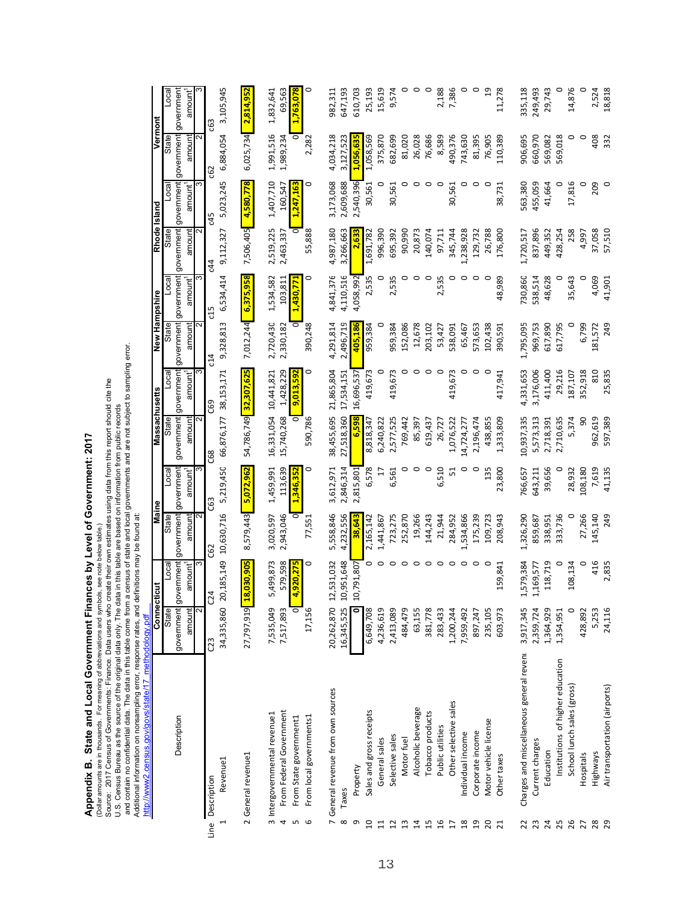**Appendix B. State and Local Government Finances by Level of Government: 2017**

Source: 2017 Census of Governments: Finance. Data users who create their own estimates using data from this report should cite the (Dollar amounts are in thousands. For meaning of abbreviations and symbols, see note below table.)

Appendix B. State and Local Government Finances by Level of Government: 2017<br>(Dollar amounts are in thousands. For meaning of abbreviations and symbols, see note below table).<br>Source: 2017 Census of Governments: Finance. D U.S. Census Bureau as the source of the original data only. The data in this table are based on information from public records

and contain no confidential data. The data in this table come from a census of state and local governments and are not subject to sampling error.

Additional information on nonsampling error, response rates, and definitions may be found at:

http://www2.census.gov/govs/state/17\_methodology.pdf http://www2.census.gov/govs/state/17\_methodology.pdf

|                  |                                          |                    | Connecticut           | Maine      |           | Massachusetts |                       | New Hampshire |                     | Rhode Island |                     | Vermont    |                          |
|------------------|------------------------------------------|--------------------|-----------------------|------------|-----------|---------------|-----------------------|---------------|---------------------|--------------|---------------------|------------|--------------------------|
|                  |                                          | State              | Local                 | State      | Loca      | State         | Local                 | State         | Loca                | State        | Local               | State      | $\overline{\phantom{a}}$ |
|                  | Description                              | government         | government            | government | governmen | government    | government            | government    | government          | government   | government          | government | government               |
|                  |                                          | amount             | amount <sup>1</sup>   | amount     | amount    | amount        | amount <sup>1</sup>   | amount        | amount <sup>1</sup> | amount       | amount <sup>1</sup> | amount     | amount <sup>1</sup>      |
|                  |                                          | $\bar{\mathsf{N}}$ | ო                     |            | ω         |               |                       | ี             | ო                   |              |                     |            |                          |
| Line Description |                                          | 03                 | C <sub>24</sub>       | C62        | C63       | <b>G8</b>     | <b>C69</b>            | c14           | d5                  | c44          | c45                 | <b>G62</b> | යි                       |
|                  | Revenue <sub>1</sub>                     |                    | 34,335,860 20,185,149 | 10,630,716 | 5,219,450 | 66,876,177    | 38,153,171            | 9,328,813     | 6,534,414           | 9,112,327    | 5,023,245           | 6,884,054  | 3,105,945                |
|                  |                                          |                    |                       |            |           |               |                       |               |                     |              |                     |            |                          |
|                  | 2 General revenue1                       |                    | 27,797,919 18,030,905 | 8,579,443  | 5,072,962 |               | 54,786,749 32,307,625 | 7,012,244     | 6,375,958           | 7,506,405    | 4,580,778           | 6,025,734  | 2,814,952                |
|                  | 3 Intergovernmental revenue1             | 7,535,049          | 5,499,873             | 3,020,597  | 1,459,991 | 16,331,054    | 10,441,821            | 2,720,430     | 1,534,582           | 2,519,225    | 1,407,710           | 1,991,516  | 1,832,641                |
| 4                | From Federal Government                  | 7,517,893          | 579,598               | 2,943,046  | 113,639   | 15,740,268    | 1,428,229             | 2,330,182     | 103,811             | 2,463,337    | 160,547             | 1,989,234  | 69,563                   |
| S                | From State government1                   |                    | 4,920,275             |            | 1,346,352 |               | 9,013,592             |               | 1,430,771           | ō            | 1,247,163           |            | 1,763,078                |
| G                | From local governments1                  | 17,156             | 0                     | 77,551     | 0         | 590,786       | 0                     | 390,248       | 0                   | 55,888       | 0                   | 2,282      |                          |
|                  | 7 General revenue from own sources       | 20,262,870         | 12,531,032            | 5,558,846  | 3,612,971 | 38,455,695    | 21,865,804            | 4,291,814     | 4,841,376           | 4,987,180    | 3,173,068           | 4,034,218  | 982,311                  |
| $\infty$         | Taxes                                    | 16,345,525         | 10,951,648            | 4,232,556  | 2,846,314 | 27,518,360    | 17,534,151            | 2,496,719     | 4,110,516           | 3,266,663    | 2,609,688           | 3,127,523  | 647,193                  |
| თ                | Property                                 |                    | 10,791,807            | 38,643     | 2,815,801 | 6,598         | 16,696,537            | 405,186       | 4,058,992           | <b>2,63</b>  | 2,540,396           | 1,056,635  | 610,703                  |
| $\overline{a}$   | Sales and gross receipts                 | 6,649,708          | 0                     | 2,165,142  | 6,578     | 8,818,347     | 419,673               | 959,384       | 2,535               | 1,691,782    | 30,561              | 1,058,569  | 25,193                   |
| $\Xi$            | General sales                            | 4,236,619          |                       | 1,441,867  | H         | 6,240,822     |                       |               | o                   | 996,390      | っ                   | 375,870    | 15,619                   |
| $\overline{12}$  | Selective sales                          | 2,413,089          | $\circ$               | 723,275    | 6,561     | 2,577,525     | 419,673               | 959,384       | 2,535               | 695,392      | 30,561              | 682,699    | 9,574                    |
| $\mathfrak{u}$   | Motor fuel                               | 484,479            | $\circ$               | 252,870    | 0         | 769,442       |                       | 152,086       | 0                   | 90,990       |                     | 81,020     | 0                        |
| $\overline{4}$   | Alcoholic beverage                       | 63,155             |                       | 19,266     | 0         | 85,397        |                       | 12,678        | 0                   | 20,873       | 0                   | 26,028     | 0                        |
| 15               | Tobacco products                         | 381,778            |                       | 144,243    | $\circ$   | 619,437       | $\circ$               | 203,102       | $\circ$             | 140,074      | $\circ$             | 76,686     | $\circ$                  |
| 16               | Public utilities                         | 283,433            | $\circ$               | 21,944     | 6,510     | 26,727        | $\circ$               | 53,427        | 2,535               | 97,711       | $\circ$             | 8,589      | 2,188                    |
| $\overline{1}$   | Other selective sales                    | 1,200,244          | $\circ$               | 284,952    | 51        | 1,076,522     | 419,673               | 538,091       | 0                   | 345,744      | 30,561              | 490,376    | 7,386                    |
| $\frac{8}{3}$    | Individual income                        | 7,959,492          | $\circ$               | 1,534,866  | 0         | 14,724,277    | 0                     | 65,467        | 0                   | 1,238,928    | 0                   | 743,630    | $\circ$                  |
| $\overline{a}$   | Corporate income                         | 897,247            | $\circ$               | 175,239    | 0         | 2,196,474     | 0                     | 573,653       | 0                   | 129,732      | 0                   | 81,395     | 0                        |
| $\overline{c}$   | Motor vehicle license                    | 235,105            | $\circ$               | 109,723    | 135       | 438,855       | o                     | 102,438       | o                   | 26,788       | 0                   | 76,905     | $\overline{a}$           |
| ដ                | Other taxes                              | 603,973            | 159,841               | 208,943    | 23,800    | 1,333,809     | 417,941               | 390,591       | 48,989              | 176,800      | 38,731              | 110,389    | 11,278                   |
| 22               | Charges and miscellaneous general revent | 3,917,345          | 1,579,384             | 1,326,290  | 766,657   | 10,937,335    | 4,331,653             | 1,795,095     | 730,860             | 1,720,517    | 563,380             | 906,695    | 335,118                  |
| 23               | Current charges                          | 2,359,724          | 1,169,577             | 859,687    | 643,211   | 5,573,313     | 3,176,006             | 969,753       | 538,514             | 837,896      | 455,059             | 660,970    | 249,493                  |
| 24               | Education                                | 1,364,929          | 118,719               | 338,951    | 39,656    | 2,718,391     | 411,400               | 617,890       | 48,628              | 449,352      | 41,664              | 569,082    | 29,743                   |
| 25               | Institutions of higher education         | 1,354,951          | 0                     | 333,736    | 0         | 2,710,635     | 29,216                | 617,795       | c                   | 428,254      |                     | 569,018    |                          |
| 26               | School lunch sales (gross)               |                    | 108,134               |            | 28,932    | 5,374         | 187,107               |               | 35,643              | 258          | 17,816              | 0          | 14,876                   |
| 27               | Hospitals                                | 428,892            |                       | 27,266     | 108,180   | 90            | 352,918               | 6,799         | 0                   | 4,997        |                     | $\circ$    |                          |
| 28               | Highways                                 | 5,253              | 416                   | 145,140    | 7,619     | 962,619       | 810                   | 181,572       | 4,069               | 37,058       | 209                 | 408        | 2,524                    |
| $\mathbf{a}$     | Air transportation (airports)            | 24,116             | 2,835                 | 249        | 41,135    | 597,389       | 25,835                | 249           | 41,901              | 57,510       |                     | 332        | 18,818                   |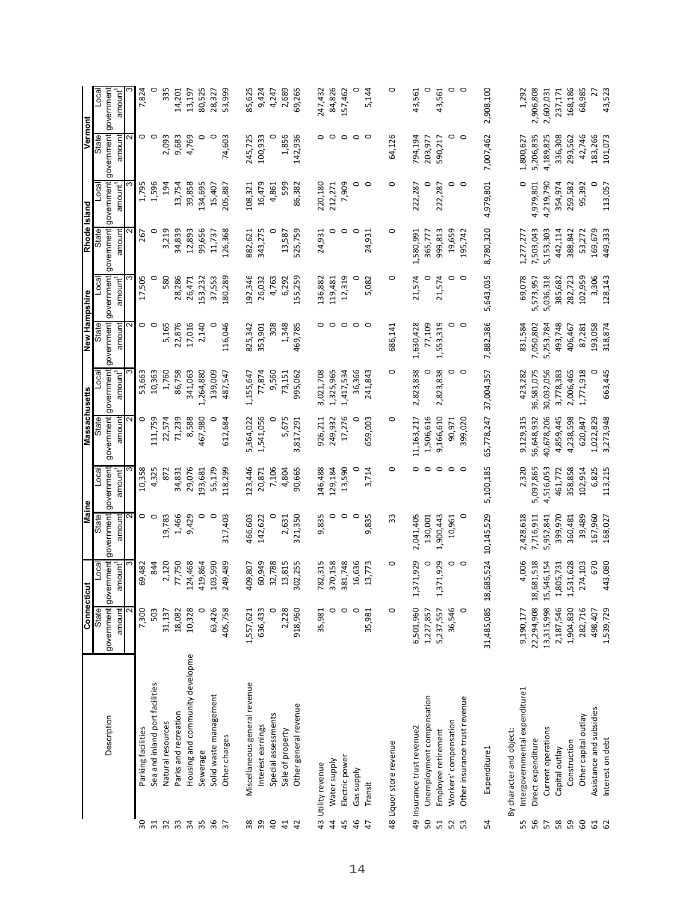|                 |                                 | Connecti       | cut                 | <b>Maine</b>          |           | Massachusetts |            | New Hampshire   |                     | <b>Rhode Island</b> |            | Vermont    |                          |
|-----------------|---------------------------------|----------------|---------------------|-----------------------|-----------|---------------|------------|-----------------|---------------------|---------------------|------------|------------|--------------------------|
|                 |                                 | State          | Loca                | State                 | Loca      | State         | Loca       | State           | Loca                | State               | Loca       | State      | $\overline{\text{real}}$ |
|                 | Description                     | government gov | vernment            | government government |           | government    | government | government      | government          | government          | government | government | government               |
|                 |                                 | amount         | amount <sup>1</sup> | amount                | amount    | amount        | amount'    | amount          | amount <sup>1</sup> | amount              | amount     | amount     | amount <sup>1</sup>      |
| 30              | Parking facilities              | 7,300          | 69,482              | 0                     | 10,358    | 0             | 53,663     | 0               | 17,505              | 267                 | 1,795      | 0          | 7,824                    |
| $\overline{31}$ | Sea and inland port facilities  | 503            | 844                 | $\circ$               | 4,325     | 111,759       | 10,363     | $\circ$         |                     | c                   | 1,596      | $\circ$    | 0                        |
| 32              | Natural resources               | 31,137         | 2,120               | 19,783                | 872       | 22,574        | 1,760      | 5,165           | 580                 | 3,219               | 194        | 2,093      | 335                      |
| 33              | Parks and recreation            | 18,082         | 77,750              | 1,466                 | 34,831    | 71,239        | 86,758     | 22,876          | 28,286              | 34,839              | 13,754     | 9,683      | 14,201                   |
| $\frac{3}{4}$   | Housing and community developme | 10,328         | 124,468             | 9,429                 | 29,076    | 8,588         | 341,063    | 17,016          | 26,471              | 12,893              | 39,858     | 4,769      | 13,197                   |
| 35              | Sewerage                        | 0              | 419,864             | 0                     | 93,681    | 467,980       | 1,264,880  | 2,140           | 53,232              | 99,656              | 134,695    | 0          | 80,525                   |
| 36              | Solid waste management          | 63,426         | 103,590             | $\circ$               | 55,179    | o             | 139,009    | o               | 37,553              | 11,737              | 15,407     | $\circ$    | 28,327                   |
| $\overline{37}$ | Other charges                   | 405,758        | 249,489             | 317,403               | 118,299   | 612,684       | 487,547    | 116,046         | 180,289             | 126,368             | 205,887    | 74,603     | 53,999                   |
| 38              | Miscellaneous general revenue   | 1,557,621      | 409,807             | 466,603               | 123,446   | 5,364,022     | 1,155,647  | 825,342         | 192,346             | 882,621             | 108,321    | 245,725    | 85,625                   |
| 39              | Interest earnings               | 636,433        | 60,949              | 142,622               | 20,871    | 1,541,056     | 77,874     | 353,901         | 26,032              | 343,275             | 16,479     | 100,933    | 9,424                    |
| 40              | Special assessments             | 0              | 32,788              |                       | 7,106     | 0             | 9,560      | 308             | 4,763               |                     | 4,861      |            | 4,247                    |
| 41              | Sale of property                | 2,228          | 13,815              | 2,631                 | 4,804     | 5,675         | 73,151     | 1,348           | 6,292               | 13,587              | 599        | 1,856      | 2,689                    |
| 42              | Other general revenue           | 918,960        | 302,255             | 321,350               | 90,665    | 3,817,291     | 995,062    | 469,785         | 55,259              | 525,759             | 86,382     | 142,936    | 69,265                   |
|                 | 43 Utility revenue              | 35,981         | 782,315             | 9,835                 | 146,488   | 926,211       | 3,021,708  | 0               | 136,882             | 24,931              | 220,180    | 0          | 247,432                  |
| $\overline{4}$  | Water supply                    | $\circ$        | 370,158             | $\circ$               | 129,184   | 249,932       | 1,325,965  | $\circ$         | 119,481             | O                   | 212,271    | $\circ$    | 84,826                   |
| 45              | Electric power                  | $\circ$        | 381,748             | $\circ$               | 13,590    | 17,276        | 1,417,534  | $\circ$         | 12,319              | $\circ$             | 7,909      | $\circ$    | 157,462                  |
| 46              | Gas supply                      | $\circ$        | 16,636              | $\circ$               |           | c             | 36,366     | $\circ$ $\circ$ |                     | $\circ$             |            | $\circ$    | 0                        |
| $\ddot{t}$      | Transit                         | 35,981         | 13,773              | 9,835                 | 3,714     | 659,003       | 241,843    |                 | 5,082               | 24,931              | $\circ$    | $\circ$    | 5,144                    |
|                 |                                 | $\circ$        | o                   | 33                    | 0         | 0             | 0          |                 | 0                   | 0                   | 0          | 64,126     | 0                        |
|                 | 48 Liquor store revenue         |                |                     |                       |           |               |            | 686,141         |                     |                     |            |            |                          |
|                 | 49 Insurance trust revenue2     | 6,501,960      | 371,929             | 2,041,405             | 0         | 11,163,217    | 2,823,838  | 1,630,428       | 21,574              | 1,580,991           | 222,287    | 794,194    | 43,561                   |
| 50              | Unemployment compensation       | 1,227,857      |                     | 130,001               |           | 1,506,616     |            | 77,109          |                     | 365,77              |            | 203,977    | 0                        |
| 51              | Employee retirement             | 5,237,557      | ,371,929            | 1,900,443             | 0         | 9,166,610     | 2,823,838  | 1,553,319       | 21,574              | 999,813             | 222,287    | 590,217    | 43,561                   |
| 52              | Workers' compensation           | 36,546         | 0                   | 10,961                | $\circ$   | 90,971        | 0          | 0               |                     | 19,659              | 0          | 0          | $\circ$                  |
| 53              | Other insurance trust revenue   | $\circ$        | $\circ$             |                       |           | 399,020       | $\circ$    |                 |                     | 195,742             | $\circ$    | $\circ$    |                          |
| 54              | Expenditure1                    | 31,485,085     | 685,524<br><u>ឌ</u> | 10,145,529            | 5,100,185 | 65,778,247    | 37,004,357 | 7,882,386       | 5,643,035           | 8,780,320           | 4,979,801  | 7,007,462  | 2,908,100                |
|                 | By character and object:        |                |                     |                       |           |               |            |                 |                     |                     |            |            |                          |
| 55              | Intergovernmental expenditure1  | 9,190,177      | 4,006               | 2,428,618             | 2,320     | 9,129,315     | 423,282    | 831,584         | 69,078              | 1,277,277           | 0          | 1,800,627  | 1,292                    |
| 56              | Direct expenditure              | 22,294,908     | 681,518<br>ఇ        | 7,716,911             | 5,097,865 | 56,648,932    | 36,581,075 | 7,050,802       | 5,573,957           | 7,503,043           | 4,979,801  | 5,206,835  | 2,906,808                |
| 57              | Current operations              | 13,315,998     | 546,154<br>H        | 5,952,841             | 4,516,053 | 40,678,206    | 30,032,056 | 5,253,784       | 5,036,318           | 5,153,303           | 4,219,790  | 4,189,825  | 2,602,031                |
| 58              | Capital outlay                  | 2,187,546      | ,805,731            | 399,970               | 461,772   | 4,859,445     | 3,778,383  | 493,748         | 385,682             | 442,114             | 354,974    | 336,308    | 237,171                  |
| 59              | Construction                    | 1,904,830      | 531,628             | 360,481               | 358,858   | 4,238,598     | 2,006,465  | 406,467         | 282,723             | 388,842             | 259,582    | 293,562    | 168,186                  |
| 60              | Other capital outlay            | 282,716        | 274,103             | 39,489                | 102,914   | 620,847       | 1,771,918  | 87,281          | 102,959             | 53,272              | 95,392     | 42,746     | 68,985                   |
| 61<br>62        | Assistance and subsidies        | 498,407        | 670                 | 167,960               | 6,825     | 1,022,829     | 0          | 193,058         | 3,306               | 169,679             |            | 183,266    | 27                       |
|                 | Interest on debt                | 1,539,729      | 443.080             | 168,027               | 113,215   | 3,273,948     | 663,445    | 318,874         | 128,143             | 449,333             | 113,057    | 101,073    | 43.523                   |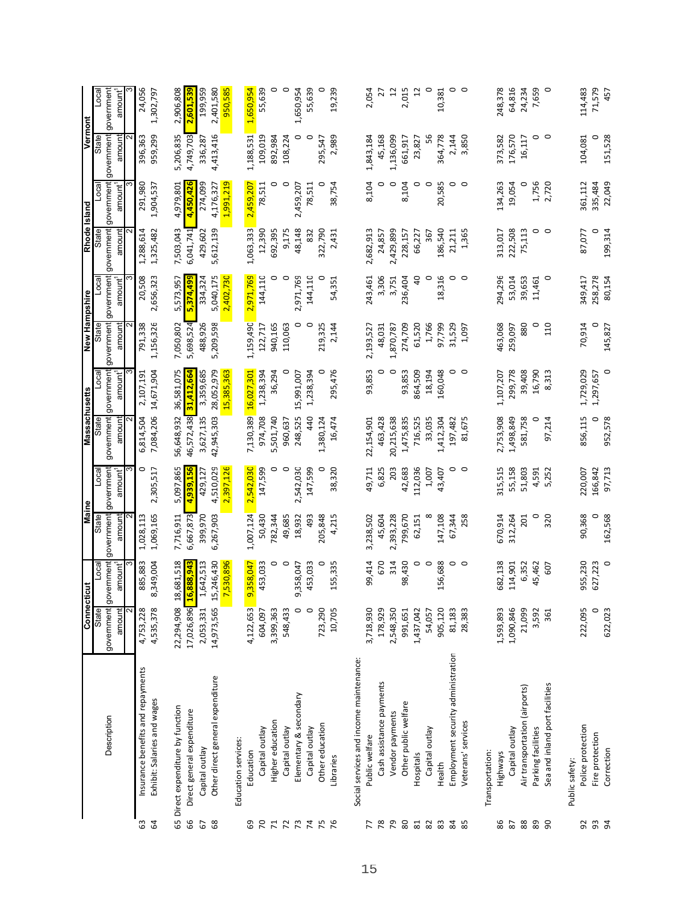|                 |                                         | Connectic      | ă                                  | <b>Maine</b> |                          | <b>Massachusetts</b> |                     | New Hampshire |                     | Rhode Island |                          | Vermont    |                     |
|-----------------|-----------------------------------------|----------------|------------------------------------|--------------|--------------------------|----------------------|---------------------|---------------|---------------------|--------------|--------------------------|------------|---------------------|
|                 |                                         | State          | Loca                               | State        | $\overline{\phantom{a}}$ | State                | Local               | State         | Loca                | State        | $\overline{\phantom{a}}$ | State      | Local               |
|                 | Description                             | government     | ernment<br>$rac{8}{100}$           | government   | government               | government           | government          | government    | government          | government   | government               | government | government          |
|                 |                                         | amount         | amount <sup>1</sup>                | amount       | amount <sup>1</sup>      | amount               | amount <sup>1</sup> | amount        | amount <sup>1</sup> | amount       | amount <sup>1</sup>      | amount     | amount <sup>1</sup> |
|                 |                                         |                |                                    |              |                          |                      |                     |               |                     |              |                          |            |                     |
| යි              | Insurance benefits and repayments       | 4,753,228      | 885,883                            | 1,028,113    | 0                        | 6,814,504            | 2,107,191           | 791,338       | 20,508              | 1,288,614    | 291,980                  | 396,363    | 24,056              |
| $\mathfrak{g}$  | Exhibit: Salaries and wages             | 4,535,378      | 349,004<br>$\infty$                | 1,069,165    | 2,305,517                | 7,084,206            | 14,671,904          | 1,156,326     | 2,656,323           | 1,325,482    | 1,904,537                | 959,299    | 1,302,797           |
|                 | 65 Direct expenditure by function       | 22,294,908     | 681,518<br>$\overline{18}$         | 7,716,911    | 5,097,865                | 56,648,932           | 36,581,075          | 7,050,802     | 5,573,957           | 7,503,043    | 4,979,801                | 5,206,835  | 2,906,808           |
| 99              | Direct general expenditure              | 17,026,896 16, | 888,943                            | 6,667,873    | 4,939,156                | 16,572,438           | 31,412,664          | 5,698,524     | 5,374,499           | 6,041,741    | 4,450,42                 | 4,749,703  | 2,601,539           |
| 67              | Capital outlay                          | 2,053,331      | ,642,513<br>$\overline{a}$         | 399,970      | 429,127                  | 3,627,135            | 3,359,685           | 488,926       | 334,324             | 429,602      | 274,099                  | 336,287    | 199,959             |
| 68              | Other direct general expenditure        | 14,973,565     | 246,430<br>15,                     | 6,267,903    | 4,510,029                | 42,945,303           | 28,052,979          | 5,209,598     | 5,040,175           | 5,612,139    | 4,176,327                | 4,413,416  | 2,401,580           |
|                 |                                         |                | 530,896<br>$\overline{\mathbf{r}}$ |              | 2,397,126                |                      | 15,385,363          |               | 2,402,730           |              | 1,991,219                |            | 950,585             |
|                 | Education services:                     |                |                                    |              |                          |                      |                     |               |                     |              |                          |            |                     |
| 69              | Education                               | 4,122,653      | 358,047<br><u> ၅</u>               | 1,007,124    | 2,542,030                | 7,130,389            | 16,027,301          | 1,159,490     | 2,971,769           | 1,063,333    | 2,459,207                | 1,188,531  | 1,650,954           |
| $\overline{70}$ | Capital outlay                          | 604,097        | 453,033                            | 50,430       | 147,599                  | 974,708              | 1,238,394           | 122,717       | 144,110             | 12,390       | 78,511                   | 109,019    | 55,639              |
| $\mathbf{z}$    | Higher education                        | 3,399,363      | 0                                  | 782,344      | 0                        | 5,501,740            | 36,294              | 940,165       | 0                   | 692,395      |                          | 892,984    | 0                   |
| $\overline{z}$  | Capital outlay                          | 548,433        | $\circ$                            | 49,685       | $\circ$                  | 960,637              |                     | 110,063       | $\circ$             | 9,175        | 0                        | 108,224    | $\circ$             |
| 73              | Elementary & secondary                  | $\circ$        | 358,047<br>ച                       | 18,932       | 2,542,030                | 248,525              | 15,991,007          | 0             | 2,971,769           | 48,148       | 2,459,207                | 0          | 1,650,954           |
| 74              | Capital outlay                          | $\circ$        | 453,033                            | 493          | 147,599                  | 40                   | 1,238,394           | $\circ$       | 144,110             | 832          | 78,511                   | $\circ$    | 55,639              |
| 75              | Other education                         | 723,290        |                                    | 205,848      |                          | 1,380,124            |                     | 219,325       | 0                   | 322,790      | 0                        | 295,547    |                     |
| 76              | Libraries                               | 10,705         | 155,335                            | 4,215        | 38,320                   | 16,474               | 295,476             | 2,144         | 54,351              | 2,431        | 38,754                   | 2,989      | 19,239              |
|                 | Social services and income maintenance: |                |                                    |              |                          |                      |                     |               |                     |              |                          |            |                     |
| 77              | Public welfare                          | 3,718,930      | 99,414                             | 3,238,502    | 49,711                   | 22,154,901           | 93,853              | 2,193,527     | 243,461             | 2,682,913    | 8,104                    | 1,843,184  | 2,054               |
| 78              | Cash assistance payments                | 178,929        | 670                                | 45,604       | 6,825                    | 463,428              |                     | 48,031        | 3,306               | 24,857       |                          | 45,168     | 27                  |
| 54              | Vendor payments                         | 2,548,350      | 314                                | 2,393,228    | 203                      | 20,215,638           | 0                   | 1,870,787     | 3,751               | 2,429,899    | 0                        | 1,136,099  | $\overline{c}$      |
| 80              | Other public welfare                    | 991,651        | 98,430                             | 799,670      | 42,683                   | 1,475,835            | 93,853              | 274,709       | 236,404             | 228,157      | 8,104                    | 661,917    | 2,015               |
| $\overline{81}$ | Hospitals                               | 1,437,042      | $\circ$                            | 62,151       | 112,036                  | 716,525              | 864,509             | 61,520        | dd                  | 66,227       | 0                        | 23,827     | $\overline{1}$      |
| 82              | Capital outlay                          | 54,057         | 0                                  |              | 1,007                    | 33,035               | 18,194              | 1,766         | 0                   | 367          | 0                        | ჯ          | 0                   |
| 83              | Health                                  | 905,120        | 156,688                            | 147,108      | 43,407                   | 1,412,304            | 160,048             | 97,799        | 18,316              | 186,540      | 20,585                   | 364,778    | 10,381              |
| 84              | Employment security administration      | 81,183         | $\circ$                            | 67,344       | ٥                        | 197,482              | 0                   | 31,529        | 0                   | 21,211       | 0                        | 2,144      | $\circ$ $\circ$     |
| 85              | Veterans' services                      | 28,383         | $\circ$                            | 258          | $\circ$                  | 81,675               | $\circ$             | 1,097         | $\circ$             | 1,365        | $\circ$                  | 3,850      |                     |
|                 | Transportation:                         |                |                                    |              |                          |                      |                     |               |                     |              |                          |            |                     |
| 86              | Highways                                | 1,593,893      | 682,138                            | 670,914      | 315,515                  | 2,753,908            | 1,107,207           | 463,068       | 294,296             | 313,017      | 134,263                  | 373,582    | 248,378             |
| 87              | Capital outlay                          | 1,090,846      | 114,901                            | 312,264      | 55,158                   | 1,498,849            | 299,778             | 259,097       | 53,014              | 222,508      | 19,054                   | 176,570    | 64,816              |
| $88\,$          | Air transportation (airports)           | 21,099         | 6,352                              | 201          | 51,803                   | 581,758              | 39,408              | 880           | 39,653              | 75,113       | 0                        | 16,117     | 24,234              |
| $89$            | Parking facilities                      | 3,592          | 45,462                             | $\circ$      | 4,591                    | 0                    | 16,790              | $\circ$       | 11,461              | 0            | 1,756                    | 0          | 7,659               |
| 90              | Sea and inland port facilities          | 361            | 507                                | 320          | 5,252                    | 97,214               | 8,313               | 110           | $\circ$             | $\circ$      | 2,720                    | $\circ$    | $\circ$             |
|                 | Public safety:                          |                |                                    |              |                          |                      |                     |               |                     |              |                          |            |                     |
| 92              | Police protection                       | 222,095        | 955,230                            | 90,368       | 220,007                  | 856,115              | 1,729,029           | 70,914        | 349,417             | 87,077       | 361,112                  | 104,081    | 114,483             |
| 93              | Fire protection                         | $\circ$        | 627,223                            | 0            | 166,842                  | 0                    | 1,297,657           | 0             | 258,278             | 0            | 335,484                  | 0          | 71,579              |
| $\overline{5}$  | Correction                              | 622,023        | $\circ$                            | 162.568      | 97,713                   | 952,578              | O                   | 145,827       | 80,154              | 199.314      | 22,049                   | 151,528    | 457                 |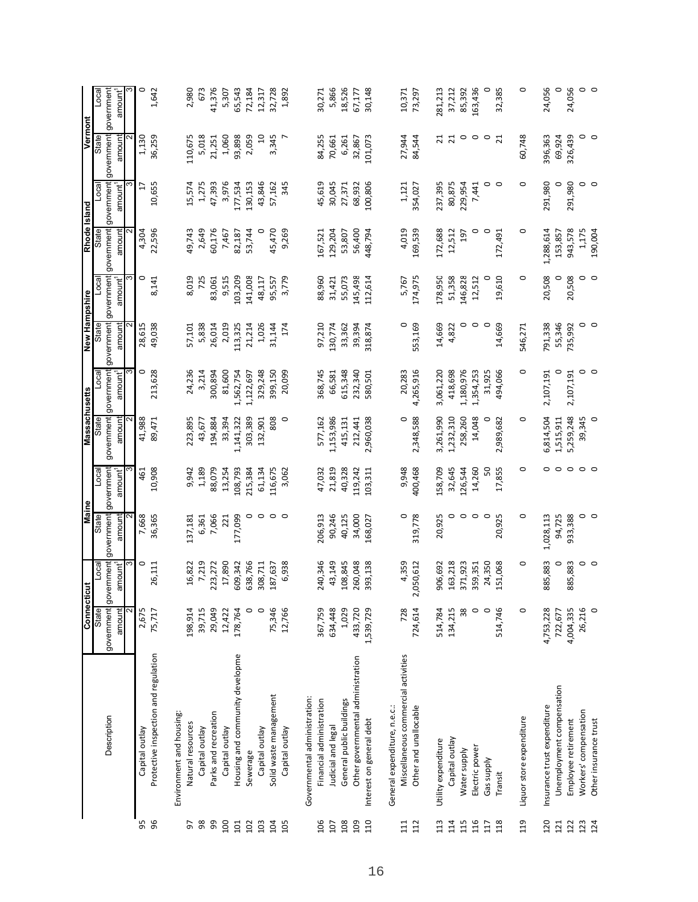|     |                                      | Connecti                 | 븅                      | <b>Maine</b>                 |                                   | Massachusetts        |                                   | New Hampshire        |                                   |                      | Rhode Island                      | Vermont              |                                   |
|-----|--------------------------------------|--------------------------|------------------------|------------------------------|-----------------------------------|----------------------|-----------------------------------|----------------------|-----------------------------------|----------------------|-----------------------------------|----------------------|-----------------------------------|
|     |                                      | State                    | Loca                   | <b>State</b>                 | $_{\text{local}}$                 | State                | Loca                              | State                | Loca                              | State                | Loca                              | State                | <u>local</u>                      |
|     | Description                          | government gov<br>amount | amount <sup>1</sup>    | ernment government<br>amount | government<br>amount <sup>1</sup> | government<br>amount | government<br>amount <sup>1</sup> | government<br>amount | government<br>amount <sup>1</sup> | government<br>amount | government<br>amount <sup>1</sup> | government<br>amount | government<br>amount <sup>1</sup> |
|     |                                      |                          |                        |                              |                                   |                      |                                   |                      |                                   |                      |                                   |                      |                                   |
| 95  | Capital outlay                       | 2,675                    | 0                      | 7,668                        | 461                               | 41,988               | 0                                 | 28,615               | 0                                 | 4,304                | F                                 | 1,130                | o                                 |
| 96  | Protective inspection and regulation | 75,717                   | 26,111                 | 36,365                       | 10,908                            | 89,471               | 213,628                           | 49,038               | 8,141                             | 22,596               | 10,655                            | 36,259               | 1,642                             |
|     | Environment and housing:             |                          |                        |                              |                                   |                      |                                   |                      |                                   |                      |                                   |                      |                                   |
| 5   | Natural resources                    | 198,914                  | 16,822                 | 137,181                      | 9,942                             | 223,895              | 24,236                            | 57,101               | 8,019                             | 49,743               | 15,574                            | 110,675              | 2,980                             |
| 98  | Capital outlay                       | 39,715                   | 7,219                  | 6,361                        | 1,189                             | 43,677               | 3,214                             | 5,838                | 725                               | 2,649                | 1,275                             | 5,018                | 673                               |
| 99  | Parks and recreation                 | 29,049                   | 223,272                | 7,066                        | 88,079                            | 194,884              | 300,894                           | 26,014               | 83,061                            | 60,176               | 47,393                            | 21,251               | 41,376                            |
| 100 | Capital outlay                       | 12,422                   | 17,890                 | 221                          | 13,254                            | 33,394               | 81,600                            | 2,019                | 9,515                             | 7,467                | 3,976                             | 1,060                | 5,307                             |
| 101 | Housing and community developme      | 178,764                  | 609,342                | 177,099                      | 108,793                           | 1,141,322            | 1,562,754                         | 113,325              | 103,209                           | 82,187               | 177,534                           | 93,898               | 65,543                            |
| 102 | Sewerage                             | $\circ$                  | 638,766                | 0                            | 215,384                           | 303,389              | 1,122,697                         | 21,214               | 141,008                           | 53,744               | 130,153                           | 2,059                | 72,184                            |
| 103 | Capital outlay                       | $\circ$                  | 308,711                | $\circ$                      | 61,134                            | 132,901              | 329,248                           | 1,026                | 48,117                            |                      | 43,846                            | $\Xi$                | 12,317                            |
| 104 | Solid waste management               | 75,346                   | 187,637                | $\circ$                      | 116,675                           | 808                  | 399,150                           | 31,144               | 95,557                            | 45,470               | 57,162                            | 3,345                | 32,728                            |
| 105 | Capital outlay                       | 12,766                   | 6,938                  | $\circ$                      | 3,062                             | $\circ$              | 20,099                            | 174                  | 3,779                             | 9,269                | 345                               |                      | 1,892                             |
|     | Governmental administration:         |                          |                        |                              |                                   |                      |                                   |                      |                                   |                      |                                   |                      |                                   |
| 106 | Financial administration             | 367,759                  | 240,346                | 206,913                      | 47,032                            | 577,162              | 368,745                           | 97,210               | 88,960                            | 167,521              | 45,619                            | 84,255               | 30,271                            |
| 107 | <b>Judicial and legal</b>            | 634,448                  | 43,149                 | 90,246                       | 21,819                            | 1,153,986            | 66,581                            | 130,774              | 31,421                            | 129,204              | 30,045                            | 70,661               | 5,866                             |
| 108 | General public buildings             | 1,029                    | 108,845                | 40,125                       | 40,328                            | 415,131              | 615,348                           | 33,362               | 55,073                            | 53,807               | 27,371                            | 6,261                | 18,526                            |
| 109 | Other governmental administration    | 433,720                  | 260,048                | 34,000                       | 119,242                           | 212,441              | 232,340                           | 39,394               | 145,498                           | 56,400               | 68,932                            | 32,867               | 67,177                            |
| 110 | Interest on general debt             | 1,539,729                | 393,138                | 168,027                      | 103,311                           | 2,960,038            | 580,501                           | 318,874              | 112,614                           | 448,794              | 100,806                           | 101,073              | 30,148                            |
|     | General expenditure, n.e.c.:         |                          |                        |                              |                                   |                      |                                   |                      |                                   |                      |                                   |                      |                                   |
| 111 | Miscellaneous commercial activities  | 728                      | 4,359                  | $\circ$                      | 9,948                             | $\circ$              | 20,283                            | $\circ$              | 5,767                             | 4,019                | 1,121                             | 27,944               | 10,371                            |
| 112 | Other and unallocable                | 724,614                  | 050,612<br>$\mathbf 2$ | 319,778                      | 400,468                           | 2,348,588            | 4,265,916                         | 553,169              | 174,975                           | 169,539              | 354,027                           | 84,544               | 73,297                            |
| 113 | Utility expenditure                  | 514,784                  | 906,692                | 20,925                       | 158,709                           | 3,261,990            | 3,061,220                         | 14,669               | 178,950                           | 172,688              | 237,395                           | ನ                    | 281,213                           |
| 114 | Capital outlay                       | 134,215                  | 163,218                | 0                            | 32,645                            | 1,232,310            | 418,698                           | 4,822                | 51,358                            | 12,512               | 80,875                            | $\overline{z}$       | 37,212                            |
| 115 | Water supply                         | 38                       | 371,923                | $\circ$                      | 126,544                           | 258,260              | 1,180,976                         | 0                    | 146,828                           | 197                  | 229,954                           | $\circ$              | 85,392                            |
| 116 | Electric power                       | $\circ$                  | 359,351                | $\circ$                      | 14,260                            | 14,048               | 1,354,253                         | $\circ$              | 12,512                            | 0                    | 7,441                             | $\circ$              | 163,436                           |
| 117 | Gas supply                           | $\circ$                  | 24,350                 | $\circ$                      | SO                                | 0                    | 31,925                            | 0                    | 0                                 | 0                    | 0                                 | $\circ$              | 0                                 |
| 118 | Transit                              | 514,746                  | 151,068                | 20,925                       | 17,855                            | 2,989,682            | 494,066                           | 14,669               | 19,610                            | 172,491              | $\circ$                           | $\overline{21}$      | 32,385                            |
| 119 | Liquor store expenditure             | 0                        | $\circ$                | 0                            | $\circ$                           | 0                    | 0                                 | 546,271              | 0                                 | 0                    | 0                                 | 60,748               | 0                                 |
| 120 | Insurance trust expenditure          | 4,753,228                | 885,883                | 1,028,113                    | $\circ$                           | 6,814,504            | 2,107,191                         | 791,338              | 20,508                            | 1,288,614            | 291,980                           | 396,363              | 24,056                            |
| 121 | Unemployment compensation            | 722,677                  | 0                      | 94,725                       | $\circ$ $\circ$                   | 1,515,911            | 0                                 | 55,346               | 0                                 | 153,857              | 0                                 | 69,924               | 0                                 |
| 122 | Employee retirement                  | 4,004,335                | 885,883                | 933,388                      |                                   | 5,259,248            | 2,107,191                         | 735,992              | 20,508                            | 943,578              | 291,980                           | 326,439              | 24,056                            |
| 123 | Workers' compensation                | 26,216                   | 0                      | 0                            | $\circ$                           | 39,345               | 0                                 | 0                    | 0                                 | 1,175                | 0                                 | 0                    | $\circ$                           |
| 124 | Other insurance trust                | $\circ$                  | $\circ$                | $\circ$                      | $\circ$                           |                      | $\circ$                           | $\circ$              | $\circ$                           | 190,004              | $\circ$                           | $\circ$              | $\circ$                           |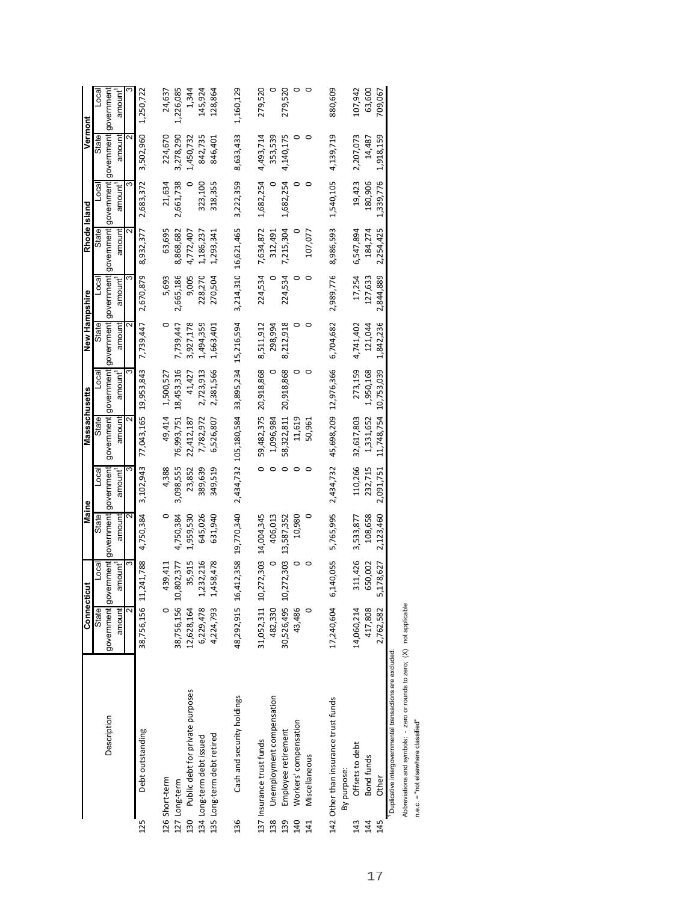|     |                                                         | Connecticut                                 |           | Maine               |                     | Massachusetts         |                                                                                         | New Hampshire |                      | Rhode Island |                     | Vermont   |                          |
|-----|---------------------------------------------------------|---------------------------------------------|-----------|---------------------|---------------------|-----------------------|-----------------------------------------------------------------------------------------|---------------|----------------------|--------------|---------------------|-----------|--------------------------|
|     |                                                         | State                                       | Local     | State               | Loca                | State                 | Loca                                                                                    | State         | Loca                 | State        | Local               | State     | $\overline{\phantom{a}}$ |
|     | Description                                             | government government government government |           |                     |                     |                       | government government government government government government government government |               |                      |              |                     |           |                          |
|     |                                                         | amount                                      | amount'   | amount              | amount <sup>1</sup> | amount                | amount'                                                                                 | amount        | amount <sup>1</sup>  | amount       | amount <sup>1</sup> | amount    | amount <sup>1</sup>      |
|     |                                                         |                                             | ო         |                     |                     |                       | ო                                                                                       |               |                      |              |                     |           |                          |
| 125 | Debt outstanding                                        | 38,756,156 11                               | ,241,788  | 4,750,384           | 3,102,943           | 77,043,165 19,953,843 |                                                                                         | 7,739,447     | 2,670,879            | 8,932,377    | 2,683,372           | 3,502,960 | 1,250,722                |
|     | 126 Short-term                                          |                                             | 439,411   |                     | 4,388               | 49,414                | 1,500,527                                                                               |               | 5,693                | 63,695       | 21,634              | 224,670   | 24,637                   |
|     | 127 Long-term                                           | 38,756,156 10                               | ,802,377  | 4,750,384           | 3,098,555           | 76,993,751            | 18,453,316                                                                              | 7,739,447     | 2,665,186            | 8,868,682    | 2,661,738           | 3,278,290 | 1,226,085                |
| 130 | Public debt for private purposes                        | 12,628,164                                  | 35,915    | 1,959,530           | 23,852              | 22,412,187            | 41,427                                                                                  | 3,927,178     | 9,005                | 4,772,407    |                     | 1,450,732 | 1,344                    |
|     | 134 Long-term debt issued                               | 6,229,478                                   | ,232,216  | 645,026             | 389,639             | 7,782,972             | 2,723,913                                                                               | 1,494,359     | 228,270              | 1,186,237    | 323,100             | 842,735   | 145,924                  |
|     | 135 Long-term debt retired                              | 4,224,793                                   | ,458,478  | 631,940             | 349,519             | 6,526,807             | 2,381,566                                                                               | 1,663,401     | 270,504              | 1,293,341    | 318,355             | 846,401   | 128,864                  |
| 136 | Cash and security holdings                              | 48,292,915 16                               |           | ,412,358 19,770,340 |                     | 2,434,732 105,180,584 | 33,895,234 15,216,594                                                                   |               | 3,214,310 16,621,465 |              | 3,222,359           | 8,633,433 | 1,160,129                |
|     | 137 Insurance trust funds                               | 31,052,311 10                               |           | ,272,303 14,004,345 |                     | 59,482,375            | 20,918,868                                                                              | 8,511,912     | 224,534              | 7,634,872    | 1,682,254           | 4,493,714 | 279,520                  |
| 138 | Unemployment compensation                               | 482,330                                     |           | 406,013             |                     | 1,096,984             |                                                                                         | 298,994       |                      | 312,491      |                     | 353,539   |                          |
| 139 | Employee retirement                                     | 30,526,495 10                               |           | ,272,303 13,587,352 |                     | 58,322,811            | 20,918,868                                                                              | 8,212,918     | 224,534              | 7,215,304    | 1,682,254           | 4,140,175 | 279,520                  |
| 140 | Workers' compensation                                   | 43,486                                      |           | 10,980              |                     | 11,619                | 0                                                                                       |               |                      |              |                     |           |                          |
| 141 | Miscellaneous                                           |                                             |           | 0                   |                     | 50,961                |                                                                                         |               |                      | 107,077      |                     |           |                          |
|     | 142 Other than insurance trust funds<br>By purpose:     | 17,240,604                                  | 5,140,055 | 5,765,995           | 2,434,732           | 45,698,209 12,976,366 |                                                                                         | 6,704,682     | 2,989,776            | 8,986,593    | 1,540,105           | 4,139,719 | 880,609                  |
| 143 | Offsets to debt                                         | 14,060,214                                  | 311,426   | 3,533,877           | 110,266             | 32,617,803            | 273,159                                                                                 | 4,741,402     | 17,254               | 6,547,894    | 19,423              | 2,207,073 | 107,942                  |
| 144 | <b>Bond funds</b>                                       | 417,808                                     | 650,002   | 108,658             | 232,715             | 1,331,652             | 1,950,168                                                                               | 121,044       | 127,633              | 184,274      | 180,906             | 14,487    | 63,600                   |
| 145 | Other                                                   | 2,762,582                                   | ,178,627  | 2,123,460           | 2,091,751           | 11.748.754            | 10,753,039                                                                              | 1,842,236     | 2.844.889            | 2,254,425    | 1,339,776           | 1,918,159 | 709,067                  |
|     | Duplicative intergovernmental transactions are excluded |                                             |           |                     |                     |                       |                                                                                         |               |                      |              |                     |           |                          |
|     |                                                         | $\tilde{\mathbf{z}}$                        |           |                     |                     |                       |                                                                                         |               |                      |              |                     |           |                          |

Abbreviations and symbols: - zero or rounds to zero; (X) not applicable<br>n.e.c. = "not elsewhere classified" Abbreviations and symbols: - zero or rounds to zero; (X) not applicable

n.e.c. = "not elsewhere classified"